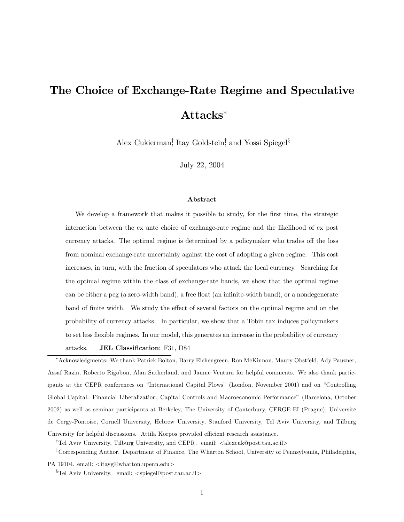# The Choice of Exchange-Rate Regime and Speculative Attacks<sup>∗</sup>

Alex Cukierman<sup>†</sup>, Itay Goldstein<sup>‡</sup> and Yossi Spiegel<sup>§</sup>

July 22, 2004

#### Abstract

We develop a framework that makes it possible to study, for the first time, the strategic interaction between the ex ante choice of exchange-rate regime and the likelihood of ex post currency attacks. The optimal regime is determined by a policymaker who trades off the loss from nominal exchange-rate uncertainty against the cost of adopting a given regime. This cost increases, in turn, with the fraction of speculators who attack the local currency. Searching for the optimal regime within the class of exchange-rate bands, we show that the optimal regime can be either a peg (a zero-width band), a free float (an infinite-width band), or a nondegenerate band of finite width. We study the effect of several factors on the optimal regime and on the probability of currency attacks. In particular, we show that a Tobin tax induces policymakers to set less flexible regimes. In our model, this generates an increase in the probability of currency

attacks. JEL Classification: F31, D84

<sup>∗</sup>Acknowledgments: We thank Patrick Bolton, Barry Eichengreen, Ron McKinnon, Maury Obstfeld, Ady Pauzner, Assaf Razin, Roberto Rigobon, Alan Sutherland, and Jaume Ventura for helpful comments. We also thank participants at the CEPR conferences on "International Capital Flows" (London, November 2001) and on "Controlling Global Capital: Financial Liberalization, Capital Controls and Macroeconomic Performance" (Barcelona, October 2002) as well as seminar participants at Berkeley, The University of Canterbury, CERGE-EI (Prague), Université de Cergy-Pontoise, Cornell University, Hebrew University, Stanford University, Tel Aviv University, and Tilburg University for helpful discussions. Attila Korpos provided efficient research assistance.

<sup>†</sup>Tel Aviv University, Tilburg University, and CEPR. email: <alexcuk@post.tau.ac.il>

‡Corresponding Author. Department of Finance, The Wharton School, University of Pennsylvania, Philadelphia,

PA 19104. email: <itayg@wharton.upenn.edu>

<sup>§</sup>Tel Aviv University. email:  $\langle$ spiegel@post.tau.ac.il>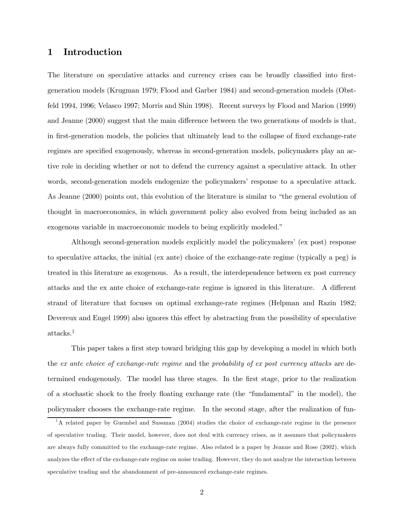# 1 Introduction

The literature on speculative attacks and currency crises can be broadly classified into firstgeneration models (Krugman 1979; Flood and Garber 1984) and second-generation models (Obstfeld 1994, 1996; Velasco 1997; Morris and Shin 1998). Recent surveys by Flood and Marion (1999) and Jeanne (2000) suggest that the main difference between the two generations of models is that, in first-generation models, the policies that ultimately lead to the collapse of fixed exchange-rate regimes are specified exogenously, whereas in second-generation models, policymakers play an active role in deciding whether or not to defend the currency against a speculative attack. In other words, second-generation models endogenize the policymakers' response to a speculative attack. As Jeanne (2000) points out, this evolution of the literature is similar to "the general evolution of thought in macroeconomics, in which government policy also evolved from being included as an exogenous variable in macroeconomic models to being explicitly modeled."

Although second-generation models explicitly model the policymakers' (ex post) response to speculative attacks, the initial (ex ante) choice of the exchange-rate regime (typically a peg) is treated in this literature as exogenous. As a result, the interdependence between ex post currency attacks and the ex ante choice of exchange-rate regime is ignored in this literature. A different strand of literature that focuses on optimal exchange-rate regimes (Helpman and Razin 1982; Devereux and Engel 1999) also ignores this effect by abstracting from the possibility of speculative attacks.<sup>1</sup>

This paper takes a first step toward bridging this gap by developing a model in which both the ex ante choice of exchange-rate regime and the probability of ex post currency attacks are determined endogenously. The model has three stages. In the first stage, prior to the realization of a stochastic shock to the freely floating exchange rate (the "fundamental" in the model), the policymaker chooses the exchange-rate regime. In the second stage, after the realization of fun-

<sup>&</sup>lt;sup>1</sup>A related paper by Guembel and Sussman (2004) studies the choice of exchange-rate regime in the presence of speculative trading. Their model, however, does not deal with currency crises, as it assumes that policymakers are always fully committed to the exchange-rate regime. Also related is a paper by Jeanne and Rose (2002), which analyzes the effect of the exchange-rate regime on noise trading. However, they do not analyze the interaction between speculative trading and the abandonment of pre-announced exchange-rate regimes.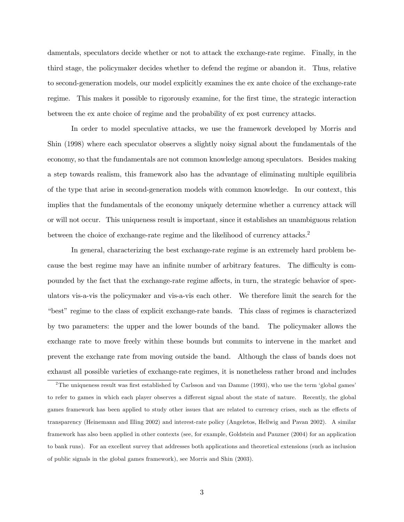damentals, speculators decide whether or not to attack the exchange-rate regime. Finally, in the third stage, the policymaker decides whether to defend the regime or abandon it. Thus, relative to second-generation models, our model explicitly examines the ex ante choice of the exchange-rate regime. This makes it possible to rigorously examine, for the first time, the strategic interaction between the ex ante choice of regime and the probability of ex post currency attacks.

In order to model speculative attacks, we use the framework developed by Morris and Shin (1998) where each speculator observes a slightly noisy signal about the fundamentals of the economy, so that the fundamentals are not common knowledge among speculators. Besides making a step towards realism, this framework also has the advantage of eliminating multiple equilibria of the type that arise in second-generation models with common knowledge. In our context, this implies that the fundamentals of the economy uniquely determine whether a currency attack will or will not occur. This uniqueness result is important, since it establishes an unambiguous relation between the choice of exchange-rate regime and the likelihood of currency attacks.<sup>2</sup>

In general, characterizing the best exchange-rate regime is an extremely hard problem because the best regime may have an infinite number of arbitrary features. The difficulty is compounded by the fact that the exchange-rate regime affects, in turn, the strategic behavior of speculators vis-a-vis the policymaker and vis-a-vis each other. We therefore limit the search for the "best" regime to the class of explicit exchange-rate bands. This class of regimes is characterized by two parameters: the upper and the lower bounds of the band. The policymaker allows the exchange rate to move freely within these bounds but commits to intervene in the market and prevent the exchange rate from moving outside the band. Although the class of bands does not exhaust all possible varieties of exchange-rate regimes, it is nonetheless rather broad and includes

<sup>&</sup>lt;sup>2</sup>The uniqueness result was first established by Carlsson and van Damme (1993), who use the term 'global games' to refer to games in which each player observes a different signal about the state of nature. Recently, the global games framework has been applied to study other issues that are related to currency crises, such as the effects of transparency (Heinemann and Illing 2002) and interest-rate policy (Angeletos, Hellwig and Pavan 2002). A similar framework has also been applied in other contexts (see, for example, Goldstein and Pauzner (2004) for an application to bank runs). For an excellent survey that addresses both applications and theoretical extensions (such as inclusion of public signals in the global games framework), see Morris and Shin (2003).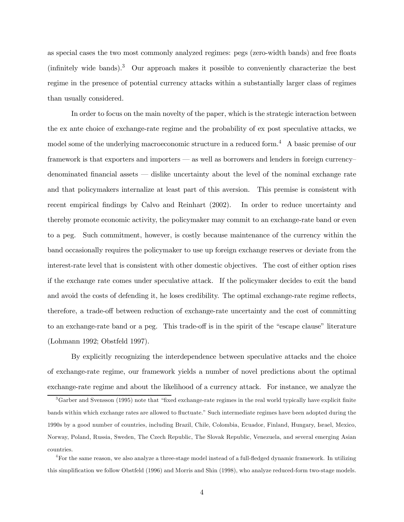as special cases the two most commonly analyzed regimes: pegs (zero-width bands) and free floats  $(\text{infinitely wide bands})$ .<sup>3</sup> Our approach makes it possible to conveniently characterize the best regime in the presence of potential currency attacks within a substantially larger class of regimes than usually considered.

In order to focus on the main novelty of the paper, which is the strategic interaction between the ex ante choice of exchange-rate regime and the probability of ex post speculative attacks, we model some of the underlying macroeconomic structure in a reduced form.<sup>4</sup> A basic premise of our framework is that exporters and importers – as well as borrowers and lenders in foreign currency denominated financial assets – dislike uncertainty about the level of the nominal exchange rate and that policymakers internalize at least part of this aversion. This premise is consistent with recent empirical findings by Calvo and Reinhart (2002). In order to reduce uncertainty and thereby promote economic activity, the policymaker may commit to an exchange-rate band or even to a peg. Such commitment, however, is costly because maintenance of the currency within the band occasionally requires the policymaker to use up foreign exchange reserves or deviate from the interest-rate level that is consistent with other domestic objectives. The cost of either option rises if the exchange rate comes under speculative attack. If the policymaker decides to exit the band and avoid the costs of defending it, he loses credibility. The optimal exchange-rate regime reflects, therefore, a trade-off between reduction of exchange-rate uncertainty and the cost of committing to an exchange-rate band or a peg. This trade-off is in the spirit of the "escape clause" literature (Lohmann 1992; Obstfeld 1997).

By explicitly recognizing the interdependence between speculative attacks and the choice of exchange-rate regime, our framework yields a number of novel predictions about the optimal exchange-rate regime and about the likelihood of a currency attack. For instance, we analyze the

<sup>&</sup>lt;sup>3</sup>Garber and Svensson (1995) note that "fixed exchange-rate regimes in the real world typically have explicit finite bands within which exchange rates are allowed to fluctuate." Such intermediate regimes have been adopted during the 1990s by a good number of countries, including Brazil, Chile, Colombia, Ecuador, Finland, Hungary, Israel, Mexico, Norway, Poland, Russia, Sweden, The Czech Republic, The Slovak Republic, Venezuela, and several emerging Asian countries.

<sup>&</sup>lt;sup>4</sup>For the same reason, we also analyze a three-stage model instead of a full-fledged dynamic framework. In utilizing this simplification we follow Obstfeld (1996) and Morris and Shin (1998), who analyze reduced-form two-stage models.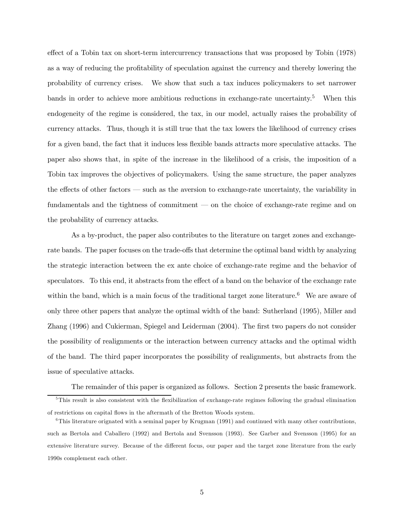effect of a Tobin tax on short-term intercurrency transactions that was proposed by Tobin (1978) as a way of reducing the profitability of speculation against the currency and thereby lowering the probability of currency crises. We show that such a tax induces policymakers to set narrower bands in order to achieve more ambitious reductions in exchange-rate uncertainty.<sup>5</sup> When this endogeneity of the regime is considered, the tax, in our model, actually raises the probability of currency attacks. Thus, though it is still true that the tax lowers the likelihood of currency crises for a given band, the fact that it induces less flexible bands attracts more speculative attacks. The paper also shows that, in spite of the increase in the likelihood of a crisis, the imposition of a Tobin tax improves the objectives of policymakers. Using the same structure, the paper analyzes the effects of other factors – such as the aversion to exchange-rate uncertainty, the variability in fundamentals and the tightness of commitment – on the choice of exchange-rate regime and on the probability of currency attacks.

As a by-product, the paper also contributes to the literature on target zones and exchangerate bands. The paper focuses on the trade-offs that determine the optimal band width by analyzing the strategic interaction between the ex ante choice of exchange-rate regime and the behavior of speculators. To this end, it abstracts from the effect of a band on the behavior of the exchange rate within the band, which is a main focus of the traditional target zone literature.<sup>6</sup> We are aware of only three other papers that analyze the optimal width of the band: Sutherland (1995), Miller and Zhang (1996) and Cukierman, Spiegel and Leiderman (2004). The first two papers do not consider the possibility of realignments or the interaction between currency attacks and the optimal width of the band. The third paper incorporates the possibility of realignments, but abstracts from the issue of speculative attacks.

The remainder of this paper is organized as follows. Section 2 presents the basic framework.

<sup>&</sup>lt;sup>5</sup>This result is also consistent with the flexibilization of exchange-rate regimes following the gradual elimination of restrictions on capital flows in the aftermath of the Bretton Woods system.

<sup>&</sup>lt;sup>6</sup>This literature orignated with a seminal paper by Krugman (1991) and continued with many other contributions, such as Bertola and Caballero (1992) and Bertola and Svensson (1993). See Garber and Svensson (1995) for an extensive literature survey. Because of the different focus, our paper and the target zone literature from the early 1990s complement each other.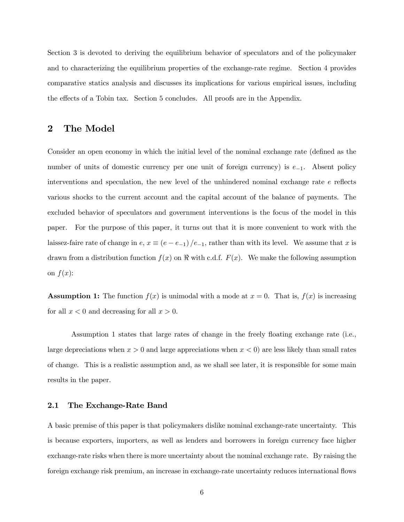Section 3 is devoted to deriving the equilibrium behavior of speculators and of the policymaker and to characterizing the equilibrium properties of the exchange-rate regime. Section 4 provides comparative statics analysis and discusses its implications for various empirical issues, including the effects of a Tobin tax. Section 5 concludes. All proofs are in the Appendix.

# 2 The Model

Consider an open economy in which the initial level of the nominal exchange rate (defined as the number of units of domestic currency per one unit of foreign currency) is  $e_{-1}$ . Absent policy interventions and speculation, the new level of the unhindered nominal exchange rate e reflects various shocks to the current account and the capital account of the balance of payments. The excluded behavior of speculators and government interventions is the focus of the model in this paper. For the purpose of this paper, it turns out that it is more convenient to work with the laissez-faire rate of change in  $e, x \equiv (e - e_{-1})/e_{-1}$ , rather than with its level. We assume that x is drawn from a distribution function  $f(x)$  on  $\Re$  with c.d.f.  $F(x)$ . We make the following assumption on  $f(x)$ :

**Assumption 1:** The function  $f(x)$  is unimodal with a mode at  $x = 0$ . That is,  $f(x)$  is increasing for all  $x < 0$  and decreasing for all  $x > 0$ .

Assumption 1 states that large rates of change in the freely floating exchange rate (i.e., large depreciations when  $x > 0$  and large appreciations when  $x < 0$  are less likely than small rates of change. This is a realistic assumption and, as we shall see later, it is responsible for some main results in the paper.

## 2.1 The Exchange-Rate Band

A basic premise of this paper is that policymakers dislike nominal exchange-rate uncertainty. This is because exporters, importers, as well as lenders and borrowers in foreign currency face higher exchange-rate risks when there is more uncertainty about the nominal exchange rate. By raising the foreign exchange risk premium, an increase in exchange-rate uncertainty reduces international flows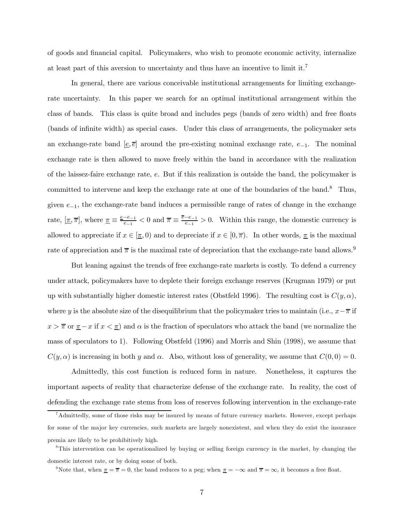of goods and financial capital. Policymakers, who wish to promote economic activity, internalize at least part of this aversion to uncertainty and thus have an incentive to limit it.7

In general, there are various conceivable institutional arrangements for limiting exchangerate uncertainty. In this paper we search for an optimal institutional arrangement within the class of bands. This class is quite broad and includes pegs (bands of zero width) and free floats (bands of infinite width) as special cases. Under this class of arrangements, the policymaker sets an exchange-rate band  $[\underline{e}, \overline{e}]$  around the pre-existing nominal exchange rate,  $e_{-1}$ . The nominal exchange rate is then allowed to move freely within the band in accordance with the realization of the laissez-faire exchange rate, e. But if this realization is outside the band, the policymaker is committed to intervene and keep the exchange rate at one of the boundaries of the band.<sup>8</sup> Thus, given e−1, the exchange-rate band induces a permissible range of rates of change in the exchange rate,  $[\underline{\pi}, \overline{\pi}]$ , where  $\underline{\pi} \equiv \frac{e - e - 1}{e - 1} < 0$  and  $\overline{\pi} \equiv \frac{\overline{e} - e - 1}{e - 1} > 0$ . Within this range, the domestic currency is allowed to appreciate if  $x \in [\underline{\pi}, 0)$  and to depreciate if  $x \in [0, \overline{\pi})$ . In other words,  $\underline{\pi}$  is the maximal rate of appreciation and  $\bar{\pi}$  is the maximal rate of depreciation that the exchange-rate band allows.<sup>9</sup>

But leaning against the trends of free exchange-rate markets is costly. To defend a currency under attack, policymakers have to deplete their foreign exchange reserves (Krugman 1979) or put up with substantially higher domestic interest rates (Obstfeld 1996). The resulting cost is  $C(y,\alpha)$ , where y is the absolute size of the disequilibrium that the policymaker tries to maintain (i.e.,  $x-\overline{\pi}$  if  $x > \overline{\pi}$  or  $\underline{\pi} - x$  if  $x < \underline{\pi}$ ) and  $\alpha$  is the fraction of speculators who attack the band (we normalize the mass of speculators to 1). Following Obstfeld (1996) and Morris and Shin (1998), we assume that  $C(y, \alpha)$  is increasing in both y and  $\alpha$ . Also, without loss of generality, we assume that  $C(0, 0) = 0$ .

Admittedly, this cost function is reduced form in nature. Nonetheless, it captures the important aspects of reality that characterize defense of the exchange rate. In reality, the cost of defending the exchange rate stems from loss of reserves following intervention in the exchange-rate

<sup>&</sup>lt;sup>7</sup>Admittedly, some of those risks may be insured by means of future currency markets. However, except perhaps for some of the major key currencies, such markets are largely nonexistent, and when they do exist the insurance premia are likely to be prohibitively high.

<sup>8</sup>This intervention can be operationalized by buying or selling foreign currency in the market, by changing the domestic interest rate, or by doing some of both.

<sup>&</sup>lt;sup>9</sup>Note that, when  $\pi = \bar{\pi} = 0$ , the band reduces to a peg; when  $\pi = -\infty$  and  $\bar{\pi} = \infty$ , it becomes a free float.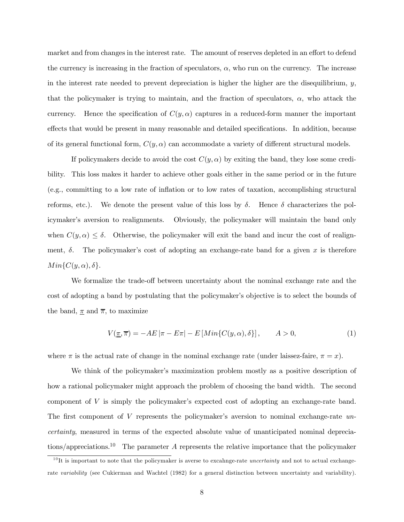market and from changes in the interest rate. The amount of reserves depleted in an effort to defend the currency is increasing in the fraction of speculators,  $\alpha$ , who run on the currency. The increase in the interest rate needed to prevent depreciation is higher the higher are the disequilibrium,  $y$ , that the policymaker is trying to maintain, and the fraction of speculators,  $\alpha$ , who attack the currency. Hence the specification of  $C(y, \alpha)$  captures in a reduced-form manner the important effects that would be present in many reasonable and detailed specifications. In addition, because of its general functional form,  $C(y, \alpha)$  can accommodate a variety of different structural models.

If policymakers decide to avoid the cost  $C(y, \alpha)$  by exiting the band, they lose some credibility. This loss makes it harder to achieve other goals either in the same period or in the future (e.g., committing to a low rate of inflation or to low rates of taxation, accomplishing structural reforms, etc.). We denote the present value of this loss by δ. Hence δ characterizes the policymaker's aversion to realignments. Obviously, the policymaker will maintain the band only when  $C(y, \alpha) \leq \delta$ . Otherwise, the policymaker will exit the band and incur the cost of realignment,  $\delta$ . The policymaker's cost of adopting an exchange-rate band for a given x is therefore  $Min{C(y, \alpha), \delta}.$ 

We formalize the trade-off between uncertainty about the nominal exchange rate and the cost of adopting a band by postulating that the policymaker's objective is to select the bounds of the band,  $\pi$  and  $\overline{\pi}$ , to maximize

$$
V(\underline{\pi}, \overline{\pi}) = -AE \left[ \pi - E\pi \right] - E \left[ Min\{C(y, \alpha), \delta\} \right], \qquad A > 0,
$$
\n<sup>(1)</sup>

where  $\pi$  is the actual rate of change in the nominal exchange rate (under laissez-faire,  $\pi = x$ ).

We think of the policymaker's maximization problem mostly as a positive description of how a rational policymaker might approach the problem of choosing the band width. The second component of V is simply the policymaker's expected cost of adopting an exchange-rate band. The first component of V represents the policymaker's aversion to nominal exchange-rate uncertainty, measured in terms of the expected absolute value of unanticipated nominal depreciations/appreciations.<sup>10</sup> The parameter A represents the relative importance that the policymaker

 $10$ It is important to note that the policymaker is averse to excalinge-rate *uncertainty* and not to actual exchangerate variability (see Cukierman and Wachtel (1982) for a general distinction between uncertainty and variability).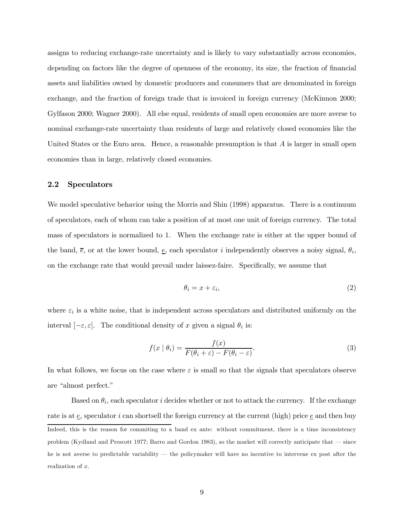assigns to reducing exchange-rate uncertainty and is likely to vary substantially across economies, depending on factors like the degree of openness of the economy, its size, the fraction of financial assets and liabilities owned by domestic producers and consumers that are denominated in foreign exchange, and the fraction of foreign trade that is invoiced in foreign currency (McKinnon 2000; Gylfason 2000; Wagner 2000). All else equal, residents of small open economies are more averse to nominal exchange-rate uncertainty than residents of large and relatively closed economies like the United States or the Euro area. Hence, a reasonable presumption is that  $A$  is larger in small open economies than in large, relatively closed economies.

## 2.2 Speculators

We model speculative behavior using the Morris and Shin (1998) apparatus. There is a continuum of speculators, each of whom can take a position of at most one unit of foreign currency. The total mass of speculators is normalized to 1. When the exchange rate is either at the upper bound of the band,  $\bar{e}$ , or at the lower bound,  $\bar{e}$ , each speculator i independently observes a noisy signal,  $\theta_i$ , on the exchange rate that would prevail under laissez-faire. Specifically, we assume that

$$
\theta_i = x + \varepsilon_i,\tag{2}
$$

where  $\varepsilon_i$  is a white noise, that is independent across speculators and distributed uniformly on the interval  $[-\varepsilon, \varepsilon]$ . The conditional density of x given a signal  $\theta_i$  is:

$$
f(x \mid \theta_i) = \frac{f(x)}{F(\theta_i + \varepsilon) - F(\theta_i - \varepsilon)}.\tag{3}
$$

In what follows, we focus on the case where  $\varepsilon$  is small so that the signals that speculators observe are "almost perfect."

Based on  $\theta_i$ , each speculator i decides whether or not to attack the currency. If the exchange rate is at  $\underline{e}$ , speculator i can shortsell the foreign currency at the current (high) price  $\underline{e}$  and then buy Indeed, this is the reason for commiting to a band ex ante: without commitment, there is a time inconsistency problem (Kydland and Prescott 1977; Barro and Gordon 1983), so the market will correctly anticipate that – since he is not averse to predictable variability – the policymaker will have no incentive to intervene ex post after the realization of x.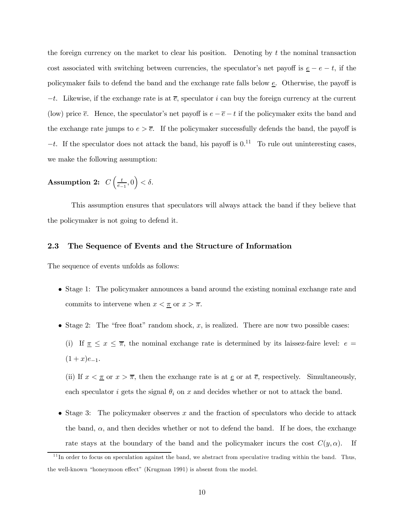the foreign currency on the market to clear his position. Denoting by  $t$  the nominal transaction cost associated with switching between currencies, the speculator's net payoff is  $\underline{e} - e - t$ , if the policymaker fails to defend the band and the exchange rate falls below  $\mathfrak{e}$ . Otherwise, the payoff is  $-t$ . Likewise, if the exchange rate is at  $\bar{e}$ , speculator i can buy the foreign currency at the current (low) price  $\overline{e}$ . Hence, the speculator's net payoff is  $e - \overline{e} - t$  if the policymaker exits the band and the exchange rate jumps to  $e > \overline{e}$ . If the policymaker successfully defends the band, the payoff is  $-t$ . If the speculator does not attack the band, his payoff is  $0<sup>11</sup>$  To rule out uninteresting cases, we make the following assumption:

**Assumption 2:** 
$$
C\left(\frac{t}{e-1}, 0\right) < \delta.
$$

This assumption ensures that speculators will always attack the band if they believe that the policymaker is not going to defend it.

## 2.3 The Sequence of Events and the Structure of Information

The sequence of events unfolds as follows:

- Stage 1: The policymaker announces a band around the existing nominal exchange rate and commits to intervene when  $x < \pi$  or  $x > \overline{\pi}$ .
- Stage 2: The "free float" random shock,  $x$ , is realized. There are now two possible cases: (i) If  $\pi \leq x \leq \overline{\pi}$ , the nominal exchange rate is determined by its laissez-faire level:  $e =$ 
	- $(1 + x)e_{-1}.$
	- (ii) If  $x < \pi$  or  $x > \overline{\pi}$ , then the exchange rate is at  $\underline{e}$  or at  $\overline{e}$ , respectively. Simultaneously, each speculator i gets the signal  $\theta_i$  on x and decides whether or not to attack the band.
- Stage 3: The policymaker observes  $x$  and the fraction of speculators who decide to attack the band,  $\alpha$ , and then decides whether or not to defend the band. If he does, the exchange rate stays at the boundary of the band and the policymaker incurs the cost  $C(y, \alpha)$ . If

 $11$ In order to focus on speculation against the band, we abstract from speculative trading within the band. Thus, the well-known "honeymoon effect" (Krugman 1991) is absent from the model.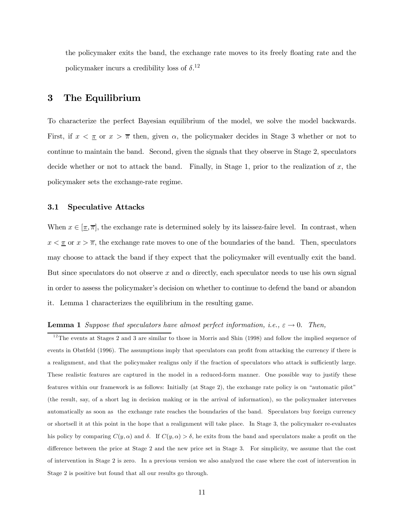the policymaker exits the band, the exchange rate moves to its freely floating rate and the policymaker incurs a credibility loss of  $\delta$ <sup>12</sup>

## 3 The Equilibrium

To characterize the perfect Bayesian equilibrium of the model, we solve the model backwards. First, if  $x < \pi$  or  $x > \pi$  then, given  $\alpha$ , the policymaker decides in Stage 3 whether or not to continue to maintain the band. Second, given the signals that they observe in Stage 2, speculators decide whether or not to attack the band. Finally, in Stage 1, prior to the realization of  $x$ , the policymaker sets the exchange-rate regime.

## 3.1 Speculative Attacks

When  $x \in [\pi, \overline{\pi}]$ , the exchange rate is determined solely by its laissez-faire level. In contrast, when  $x < \underline{\pi}$  or  $x > \overline{\pi}$ , the exchange rate moves to one of the boundaries of the band. Then, speculators may choose to attack the band if they expect that the policymaker will eventually exit the band. But since speculators do not observe x and  $\alpha$  directly, each speculator needs to use his own signal in order to assess the policymaker's decision on whether to continue to defend the band or abandon it. Lemma 1 characterizes the equilibrium in the resulting game.

# **Lemma 1** Suppose that speculators have almost perfect information, i.e.,  $\varepsilon \to 0$ . Then,

 $12$ The events at Stages 2 and 3 are similar to those in Morris and Shin (1998) and follow the implied sequence of events in Obstfeld (1996). The assumptions imply that speculators can profit from attacking the currency if there is a realignment, and that the policymaker realigns only if the fraction of speculators who attack is sufficiently large. These realistic features are captured in the model in a reduced-form manner. One possible way to justify these features within our framework is as follows: Initially (at Stage 2), the exchange rate policy is on "automatic pilot" (the result, say, of a short lag in decision making or in the arrival of information), so the policymaker intervenes automatically as soon as the exchange rate reaches the boundaries of the band. Speculators buy foreign currency or shortsell it at this point in the hope that a realignment will take place. In Stage 3, the policymaker re-evaluates his policy by comparing  $C(y, \alpha)$  and  $\delta$ . If  $C(y, \alpha) > \delta$ , he exits from the band and speculators make a profit on the difference between the price at Stage 2 and the new price set in Stage 3. For simplicity, we assume that the cost of intervention in Stage 2 is zero. In a previous version we also analyzed the case where the cost of intervention in Stage 2 is positive but found that all our results go through.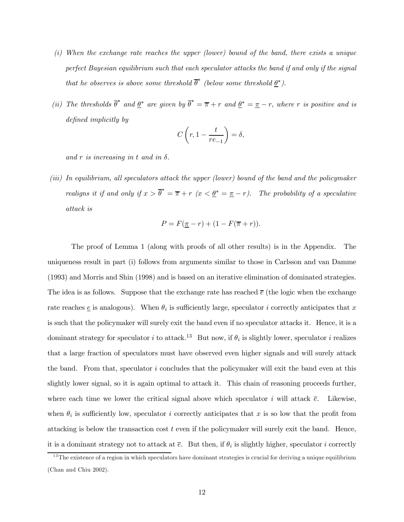- (i) When the exchange rate reaches the upper (lower) bound of the band, there exists a unique perfect Bayesian equilibrium such that each speculator attacks the band if and only if the signal that he observes is above some threshold  $\overline{\theta}^*$  (below some threshold  $\underline{\theta}^*$ ).
- (ii) The thresholds  $\overline{\theta}^*$  and  $\underline{\theta}^*$  are given by  $\overline{\theta}^* = \overline{\pi} + r$  and  $\underline{\theta}^* = \underline{\pi} r$ , where r is positive and is defined implicitly by

$$
C\left(r, 1 - \frac{t}{re_{-1}}\right) = \delta,
$$

and r is increasing in t and in  $\delta$ .

(iii) In equilibrium, all speculators attack the upper (lower) bound of the band and the policymaker realigns it if and only if  $x > \overline{\theta}^* = \overline{\pi} + r$   $(x < \underline{\theta}^* = \underline{\pi} - r)$ . The probability of a speculative attack is

$$
P = F(\underline{\pi} - r) + (1 - F(\overline{\pi} + r)).
$$

The proof of Lemma 1 (along with proofs of all other results) is in the Appendix. uniqueness result in part (i) follows from arguments similar to those in Carlsson and van Damme (1993) and Morris and Shin (1998) and is based on an iterative elimination of dominated strategies. The idea is as follows. Suppose that the exchange rate has reached  $\bar{e}$  (the logic when the exchange rate reaches  $\underline{e}$  is analogous). When  $\theta_i$  is sufficiently large, speculator i correctly anticipates that x is such that the policymaker will surely exit the band even if no speculator attacks it. Hence, it is a dominant strategy for speculator i to attack.<sup>13</sup> But now, if  $\theta_i$  is slightly lower, speculator i realizes that a large fraction of speculators must have observed even higher signals and will surely attack the band. From that, speculator i concludes that the policymaker will exit the band even at this slightly lower signal, so it is again optimal to attack it. This chain of reasoning proceeds further, where each time we lower the critical signal above which speculator i will attack  $\bar{e}$ . Likewise, when  $\theta_i$  is sufficiently low, speculator i correctly anticipates that x is so low that the profit from attacking is below the transaction cost  $t$  even if the policymaker will surely exit the band. Hence, it is a dominant strategy not to attack at  $\overline{e}$ . But then, if  $\theta_i$  is slightly higher, speculator i correctly

 $13$ The existence of a region in which speculators have dominant strategies is crucial for deriving a unique equilibrium (Chan and Chiu 2002).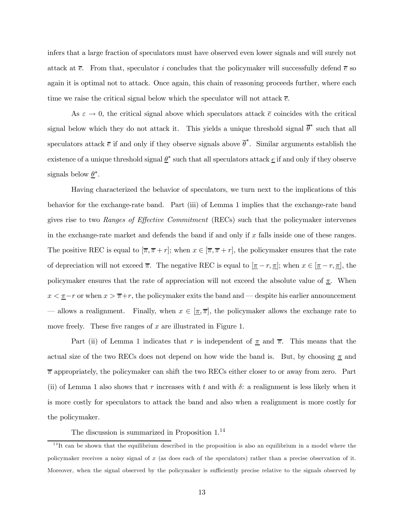infers that a large fraction of speculators must have observed even lower signals and will surely not attack at  $\bar{e}$ . From that, speculator i concludes that the policymaker will successfully defend  $\bar{e}$  so again it is optimal not to attack. Once again, this chain of reasoning proceeds further, where each time we raise the critical signal below which the speculator will not attack  $\overline{e}$ .

As  $\varepsilon \to 0$ , the critical signal above which speculators attack  $\overline{e}$  coincides with the critical signal below which they do not attack it. This yields a unique threshold signal  $\overline{\theta}^*$  such that all speculators attack  $\bar{e}$  if and only if they observe signals above  $\bar{\theta}^*$ . Similar arguments establish the existence of a unique threshold signal  $\underline{\theta}^*$  such that all speculators attack  $\underline{e}$  if and only if they observe signals below  $\underline{\theta}^*$ .

Having characterized the behavior of speculators, we turn next to the implications of this behavior for the exchange-rate band. Part (iii) of Lemma 1 implies that the exchange-rate band gives rise to two Ranges of Effective Commitment (RECs) such that the policymaker intervenes in the exchange-rate market and defends the band if and only if  $x$  falls inside one of these ranges. The positive REC is equal to  $[\overline{\pi}, \overline{\pi} + r]$ ; when  $x \in [\overline{\pi}, \overline{\pi} + r]$ , the policymaker ensures that the rate of depreciation will not exceed  $\overline{\pi}$ . The negative REC is equal to  $[\overline{x} - r, \overline{x}]$ ; when  $x \in [\overline{x} - r, \overline{x}]$ , the policymaker ensures that the rate of appreciation will not exceed the absolute value of  $\pi$ . When  $x < \underline{\pi}-r$  or when  $x > \overline{\pi}+r$ , the policymaker exits the band and — despite his earlier announcement — allows a realignment. Finally, when  $x \in [\pi, \overline{\pi}]$ , the policymaker allows the exchange rate to move freely. These five ranges of  $x$  are illustrated in Figure 1.

Part (ii) of Lemma 1 indicates that r is independent of  $\pi$  and  $\overline{\pi}$ . This means that the actual size of the two RECs does not depend on how wide the band is. But, by choosing  $\pi$  and  $\bar{\pi}$  appropriately, the policymaker can shift the two RECs either closer to or away from zero. Part (ii) of Lemma 1 also shows that r increases with t and with  $\delta$ : a realignment is less likely when it is more costly for speculators to attack the band and also when a realignment is more costly for the policymaker.

The discussion is summarized in Proposition  $1<sup>14</sup>$ 

 $14$ <sup>14</sup>It can be shown that the equilibrium described in the proposition is also an equilibrium in a model where the policymaker receives a noisy signal of x (as does each of the speculators) rather than a precise observation of it. Moreover, when the signal observed by the policymaker is sufficiently precise relative to the signals observed by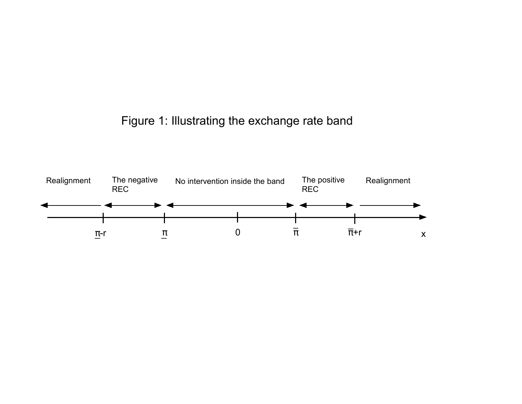# Figure 1: Illustrating the exchange rate band

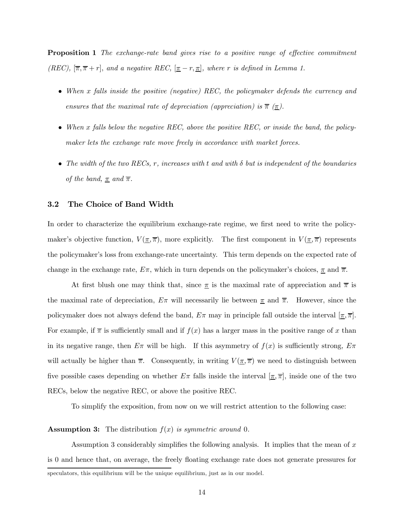**Proposition 1** The exchange-rate band gives rise to a positive range of effective commitment (REC),  $[\bar{\pi}, \bar{\pi} + r]$ , and a negative REC,  $[\underline{\pi} - r, \underline{\pi}]$ , where r is defined in Lemma 1.

- When x falls inside the positive (negative) REC, the policymaker defends the currency and ensures that the maximal rate of depreciation (appreciation) is  $\bar{\pi}$  ( $\bar{\pi}$ ).
- When x falls below the negative REC, above the positive REC, or inside the band, the policymaker lets the exchange rate move freely in accordance with market forces.
- The width of the two RECs, r, increases with t and with  $\delta$  but is independent of the boundaries of the band,  $\pi$  and  $\overline{\pi}$ .

#### 3.2 The Choice of Band Width

In order to characterize the equilibrium exchange-rate regime, we first need to write the policymaker's objective function,  $V(\underline{\pi}, \overline{\pi})$ , more explicitly. The first component in  $V(\underline{\pi}, \overline{\pi})$  represents the policymaker's loss from exchange-rate uncertainty. This term depends on the expected rate of change in the exchange rate,  $E\pi$ , which in turn depends on the policymaker's choices,  $\pi$  and  $\bar{\pi}$ .

At first blush one may think that, since  $\pi$  is the maximal rate of appreciation and  $\pi$  is the maximal rate of depreciation,  $E\pi$  will necessarily lie between  $\pi$  and  $\bar{\pi}$ . However, since the policymaker does not always defend the band,  $E\pi$  may in principle fall outside the interval  $|\pi,\pi|$ . For example, if  $\bar{\pi}$  is sufficiently small and if  $f(x)$  has a larger mass in the positive range of x than in its negative range, then  $E\pi$  will be high. If this asymmetry of  $f(x)$  is sufficiently strong,  $E\pi$ will actually be higher than  $\bar{\pi}$ . Consequently, in writing  $V(\bar{\pi}, \bar{\pi})$  we need to distinguish between five possible cases depending on whether  $E\pi$  falls inside the interval  $[\pi,\overline{\pi}]$ , inside one of the two RECs, below the negative REC, or above the positive REC.

To simplify the exposition, from now on we will restrict attention to the following case:

#### **Assumption 3:** The distribution  $f(x)$  is symmetric around 0.

Assumption 3 considerably simplifies the following analysis. It implies that the mean of  $x$ is 0 and hence that, on average, the freely floating exchange rate does not generate pressures for speculators, this equilibrium will be the unique equilibrium, just as in our model.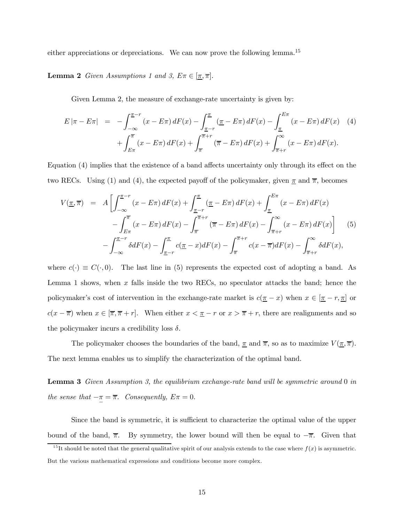either appreciations or depreciations. We can now prove the following lemma.<sup>15</sup>

**Lemma 2** Given Assumptions 1 and 3,  $E\pi \in [\underline{\pi}, \overline{\pi}]$ .

Given Lemma 2, the measure of exchange-rate uncertainty is given by:

$$
E|\pi - E\pi| = -\int_{-\infty}^{\frac{\pi}{2}-r} (x - E\pi) dF(x) - \int_{\frac{\pi}{2}-r}^{\frac{\pi}{2}} (\frac{\pi}{2}-E\pi) dF(x) - \int_{\frac{\pi}{2}}^{E\pi} (x - E\pi) dF(x)
$$
(4)  
+ 
$$
\int_{E\pi}^{\frac{\pi}{2}} (x - E\pi) dF(x) + \int_{\frac{\pi}{2}}^{\frac{\pi}{2}+r} (\frac{\pi}{2}-E\pi) dF(x) + \int_{\frac{\pi}{2}+r}^{\infty} (x - E\pi) dF(x).
$$

Equation (4) implies that the existence of a band affects uncertainty only through its effect on the two RECs. Using (1) and (4), the expected payoff of the policymaker, given  $\pi$  and  $\overline{\pi}$ , becomes

$$
V(\underline{\pi}, \overline{\pi}) = A \left[ \int_{-\infty}^{\underline{\pi} - r} (x - E\pi) dF(x) + \int_{\underline{\pi} - r}^{\underline{\pi}} (\underline{\pi} - E\pi) dF(x) + \int_{\underline{\pi}}^{E\pi} (x - E\pi) dF(x) - \int_{\overline{\pi}}^{\overline{\pi}} (x - E\pi) dF(x) - \int_{\overline{\pi}}^{\overline{\pi} + r} (\overline{\pi} - E\pi) dF(x) - \int_{\overline{\pi} + r}^{\infty} (x - E\pi) dF(x) \right] \tag{5}
$$

$$
- \int_{-\infty}^{\underline{\pi} - r} \delta dF(x) - \int_{\underline{\pi} - r}^{\underline{\pi}} c(\underline{\pi} - x) dF(x) - \int_{\overline{\pi}}^{\overline{\pi} + r} c(x - \overline{\pi}) dF(x) - \int_{\overline{\pi} + r}^{\infty} \delta dF(x),
$$

where  $c(\cdot) \equiv C(\cdot, 0)$ . The last line in (5) represents the expected cost of adopting a band. As Lemma 1 shows, when  $x$  falls inside the two RECs, no speculator attacks the band; hence the policymaker's cost of intervention in the exchange-rate market is  $c(\pi - x)$  when  $x \in [\pi - r, \pi]$  or  $c(x - \overline{\pi})$  when  $x \in [\overline{\pi}, \overline{\pi} + r]$ . When either  $x < \underline{\pi} - r$  or  $x > \overline{\pi} + r$ , there are realignments and so the policymaker incurs a credibility loss  $\delta$ .

The policymaker chooses the boundaries of the band,  $\pi$  and  $\overline{\pi}$ , so as to maximize  $V(\pi,\overline{\pi})$ . The next lemma enables us to simplify the characterization of the optimal band.

**Lemma 3** Given Assumption 3, the equilibrium exchange-rate band will be symmetric around 0 in the sense that  $-\pi = \overline{\pi}$ . Consequently,  $E\pi = 0$ .

Since the band is symmetric, it is sufficient to characterize the optimal value of the upper bound of the band,  $\bar{\pi}$ . By symmetry, the lower bound will then be equal to  $-\bar{\pi}$ . Given that

<sup>&</sup>lt;sup>15</sup>It should be noted that the general qualitative spirit of our analysis extends to the case where  $f(x)$  is asymmetric. But the various mathematical expressions and conditions become more complex.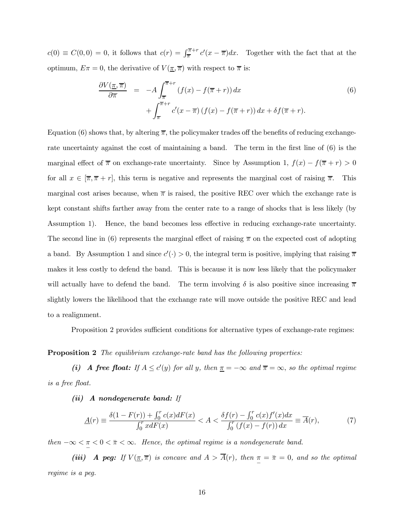$c(0) \equiv C(0,0) = 0$ , it follows that  $c(r) = \int_{\overline{\pi}}^{\overline{\pi}+r} c'(x-\overline{\pi})dx$ . Together with the fact that at the optimum,  $E\pi = 0$ , the derivative of  $V(\underline{\pi}, \overline{\pi})$  with respect to  $\overline{\pi}$  is:

$$
\frac{\partial V(\underline{\pi}, \overline{\pi})}{\partial \overline{\pi}} = -A \int_{\overline{\pi}}^{\overline{\pi}+r} (f(x) - f(\overline{\pi} + r)) dx + \int_{\overline{\pi}}^{\overline{\pi}+r} c'(x - \overline{\pi}) (f(x) - f(\overline{\pi} + r)) dx + \delta f(\overline{\pi} + r).
$$
\n(6)

Equation (6) shows that, by altering  $\overline{\pi}$ , the policymaker trades off the benefits of reducing exchangerate uncertainty against the cost of maintaining a band. The term in the first line of (6) is the marginal effect of  $\bar{\pi}$  on exchange-rate uncertainty. Since by Assumption 1,  $f(x) - f(\bar{\pi} + r) > 0$ for all  $x \in [\overline{\pi}, \overline{\pi} + r]$ , this term is negative and represents the marginal cost of raising  $\overline{\pi}$ . This marginal cost arises because, when  $\bar{\pi}$  is raised, the positive REC over which the exchange rate is kept constant shifts farther away from the center rate to a range of shocks that is less likely (by Assumption 1). Hence, the band becomes less effective in reducing exchange-rate uncertainty. The second line in (6) represents the marginal effect of raising  $\bar{\pi}$  on the expected cost of adopting a band. By Assumption 1 and since  $c'(\cdot) > 0$ , the integral term is positive, implying that raising  $\overline{\pi}$ makes it less costly to defend the band. This is because it is now less likely that the policymaker will actually have to defend the band. The term involving  $\delta$  is also positive since increasing  $\bar{\pi}$ slightly lowers the likelihood that the exchange rate will move outside the positive REC and lead to a realignment.

Proposition 2 provides sufficient conditions for alternative types of exchange-rate regimes:

### **Proposition 2** The equilibrium exchange-rate band has the following properties:

(i) A free float: If  $A \leq c'(y)$  for all y, then  $\underline{\pi} = -\infty$  and  $\overline{\pi} = \infty$ , so the optimal regime is a free float.

(ii) A nondegenerate band: If

$$
\underline{A}(r) \equiv \frac{\delta(1 - F(r)) + \int_0^r c(x)dF(x)}{\int_0^r x dF(x)} < A < \frac{\delta f(r) - \int_0^r c(x)f'(x)dx}{\int_0^r (f(x) - f(r)) dx} \equiv \overline{A}(r),\tag{7}
$$

then  $-\infty < \pi < 0 < \bar{\pi} < \infty$ . Hence, the optimal regime is a nondegenerate band.

(iii) A peg: If  $V(\underline{\pi}, \overline{\pi})$  is concave and  $A > \overline{A}(r)$ , then  $\underline{\pi} = \overline{\pi} = 0$ , and so the optimal regime is a peg.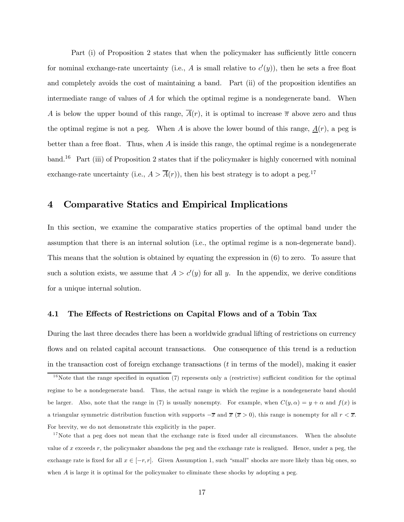Part (i) of Proposition 2 states that when the policymaker has sufficiently little concern for nominal exchange-rate uncertainty (i.e., A is small relative to  $c'(y)$ ), then he sets a free float and completely avoids the cost of maintaining a band. Part (ii) of the proposition identifies an intermediate range of values of A for which the optimal regime is a nondegenerate band. When A is below the upper bound of this range,  $\overline{A}(r)$ , it is optimal to increase  $\overline{\pi}$  above zero and thus the optimal regime is not a peg. When A is above the lower bound of this range,  $\underline{A}(r)$ , a peg is better than a free float. Thus, when  $A$  is inside this range, the optimal regime is a nondegenerate band.<sup>16</sup> Part (iii) of Proposition 2 states that if the policymaker is highly concerned with nominal exchange-rate uncertainty (i.e.,  $A > \overline{A}(r)$ ), then his best strategy is to adopt a peg.<sup>17</sup>

# 4 Comparative Statics and Empirical Implications

In this section, we examine the comparative statics properties of the optimal band under the assumption that there is an internal solution (i.e., the optimal regime is a non-degenerate band). This means that the solution is obtained by equating the expression in (6) to zero. To assure that such a solution exists, we assume that  $A > c'(y)$  for all y. In the appendix, we derive conditions for a unique internal solution.

## 4.1 The Effects of Restrictions on Capital Flows and of a Tobin Tax

During the last three decades there has been a worldwide gradual lifting of restrictions on currency flows and on related capital account transactions. One consequence of this trend is a reduction in the transaction cost of foreign exchange transactions  $(t$  in terms of the model), making it easier

 $16$ Note that the range specified in equation (7) represents only a (restrictive) sufficient condition for the optimal regime to be a nondegenerate band. Thus, the actual range in which the regime is a nondegenerate band should be larger. Also, note that the range in (7) is usually nonempty. For example, when  $C(y, \alpha) = y + \alpha$  and  $f(x)$  is a triangular symmetric distribution function with supports  $-\overline{x}$  and  $\overline{x}$  ( $\overline{x} > 0$ ), this range is nonempty for all  $r < \overline{x}$ . For brevity, we do not demonstrate this explicitly in the paper.

 $17$ Note that a peg does not mean that the exchange rate is fixed under all circumstances. When the absolute value of  $x$  exceeds  $r$ , the policymaker abandons the peg and the exchange rate is realigned. Hence, under a peg, the exchange rate is fixed for all  $x \in [-r, r]$ . Given Assumption 1, such "small" shocks are more likely than big ones, so when  $A$  is large it is optimal for the policymaker to eliminate these shocks by adopting a peg.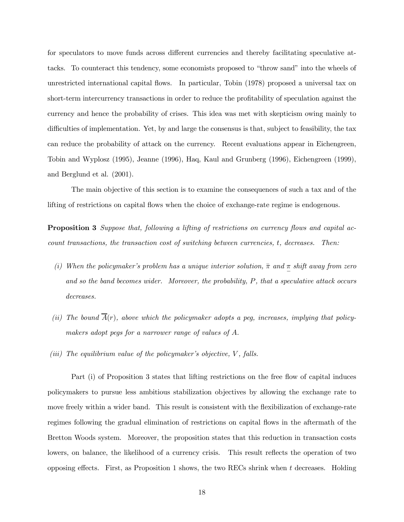for speculators to move funds across different currencies and thereby facilitating speculative attacks. To counteract this tendency, some economists proposed to "throw sand" into the wheels of unrestricted international capital flows. In particular, Tobin (1978) proposed a universal tax on short-term intercurrency transactions in order to reduce the profitability of speculation against the currency and hence the probability of crises. This idea was met with skepticism owing mainly to difficulties of implementation. Yet, by and large the consensus is that, subject to feasibility, the tax can reduce the probability of attack on the currency. Recent evaluations appear in Eichengreen, Tobin and Wyplosz (1995), Jeanne (1996), Haq, Kaul and Grunberg (1996), Eichengreen (1999), and Berglund et al. (2001).

The main objective of this section is to examine the consequences of such a tax and of the lifting of restrictions on capital flows when the choice of exchange-rate regime is endogenous.

Proposition 3 Suppose that, following a lifting of restrictions on currency flows and capital account transactions, the transaction cost of switching between currencies, t, decreases. Then:

- (i) When the policymaker's problem has a unique interior solution,  $\bar{\pi}$  and  $\frac{\pi}{2}$  shift away from zero and so the band becomes wider. Moreover, the probability, P, that a speculative attack occurs decreases.
- (ii) The bound  $\overline{A}(r)$ , above which the policymaker adopts a peg, increases, implying that policymakers adopt pegs for a narrower range of values of A.
- (iii) The equilibrium value of the policymaker's objective,  $V$ , falls.

Part (i) of Proposition 3 states that lifting restrictions on the free flow of capital induces policymakers to pursue less ambitious stabilization objectives by allowing the exchange rate to move freely within a wider band. This result is consistent with the flexibilization of exchange-rate regimes following the gradual elimination of restrictions on capital flows in the aftermath of the Bretton Woods system. Moreover, the proposition states that this reduction in transaction costs lowers, on balance, the likelihood of a currency crisis. This result reflects the operation of two opposing effects. First, as Proposition 1 shows, the two RECs shrink when  $t$  decreases. Holding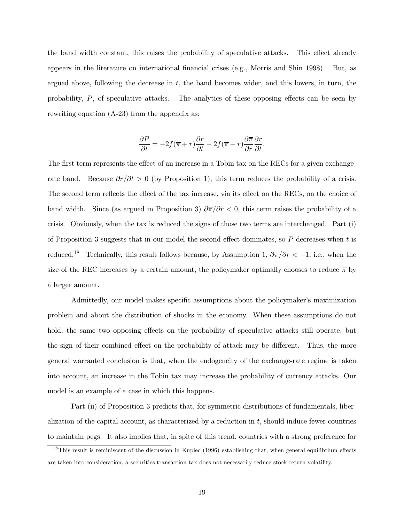the band width constant, this raises the probability of speculative attacks. This effect already appears in the literature on international financial crises (e.g., Morris and Shin 1998). But, as argued above, following the decrease in  $t$ , the band becomes wider, and this lowers, in turn, the probability, P, of speculative attacks. The analytics of these opposing effects can be seen by rewriting equation (A-23) from the appendix as:

$$
\frac{\partial P}{\partial t} = -2f(\overline{\pi} + r)\frac{\partial r}{\partial t} - 2f(\overline{\pi} + r)\frac{\partial \overline{\pi}}{\partial r}\frac{\partial r}{\partial t}.
$$

The first term represents the effect of an increase in a Tobin tax on the RECs for a given exchangerate band. Because  $\partial r/\partial t > 0$  (by Proposition 1), this term reduces the probability of a crisis. The second term reflects the effect of the tax increase, via its effect on the RECs, on the choice of band width. Since (as argued in Proposition 3)  $\partial \overline{\pi}/\partial r < 0$ , this term raises the probability of a crisis. Obviously, when the tax is reduced the signs of those two terms are interchanged. Part (i) of Proposition 3 suggests that in our model the second effect dominates, so  $P$  decreases when  $t$  is reduced.<sup>18</sup> Technically, this result follows because, by Assumption 1,  $\partial \overline{\pi}/\partial r < -1$ , i.e., when the size of the REC increases by a certain amount, the policymaker optimally chooses to reduce  $\bar{\pi}$  by a larger amount.

Admittedly, our model makes specific assumptions about the policymaker's maximization problem and about the distribution of shocks in the economy. When these assumptions do not hold, the same two opposing effects on the probability of speculative attacks still operate, but the sign of their combined effect on the probability of attack may be different. Thus, the more general warranted conclusion is that, when the endogeneity of the exchange-rate regime is taken into account, an increase in the Tobin tax may increase the probability of currency attacks. Our model is an example of a case in which this happens.

Part (ii) of Proposition 3 predicts that, for symmetric distributions of fundamentals, liberalization of the capital account, as characterized by a reduction in  $t$ , should induce fewer countries to maintain pegs. It also implies that, in spite of this trend, countries with a strong preference for

 $18$ This result is reminiscent of the discussion in Kupiec (1996) establishing that, when general equilibrium effects are taken into consideration, a securities transaction tax does not necessarily reduce stock return volatility.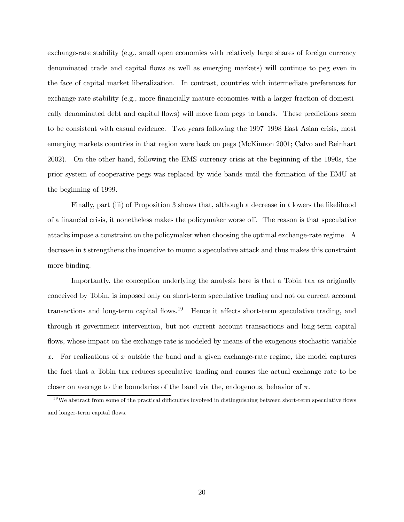exchange-rate stability (e.g., small open economies with relatively large shares of foreign currency denominated trade and capital flows as well as emerging markets) will continue to peg even in the face of capital market liberalization. In contrast, countries with intermediate preferences for exchange-rate stability (e.g., more financially mature economies with a larger fraction of domestically denominated debt and capital flows) will move from pegs to bands. These predictions seem to be consistent with casual evidence. Two years following the 1997—1998 East Asian crisis, most emerging markets countries in that region were back on pegs (McKinnon 2001; Calvo and Reinhart 2002). On the other hand, following the EMS currency crisis at the beginning of the 1990s, the prior system of cooperative pegs was replaced by wide bands until the formation of the EMU at the beginning of 1999.

Finally, part (iii) of Proposition 3 shows that, although a decrease in t lowers the likelihood of a financial crisis, it nonetheless makes the policymaker worse off. The reason is that speculative attacks impose a constraint on the policymaker when choosing the optimal exchange-rate regime. A decrease in t strengthens the incentive to mount a speculative attack and thus makes this constraint more binding.

Importantly, the conception underlying the analysis here is that a Tobin tax as originally conceived by Tobin, is imposed only on short-term speculative trading and not on current account transactions and long-term capital flows.<sup>19</sup> Hence it affects short-term speculative trading, and through it government intervention, but not current account transactions and long-term capital flows, whose impact on the exchange rate is modeled by means of the exogenous stochastic variable x. For realizations of x outside the band and a given exchange-rate regime, the model captures the fact that a Tobin tax reduces speculative trading and causes the actual exchange rate to be closer on average to the boundaries of the band via the, endogenous, behavior of  $\pi$ .

 $1<sup>9</sup>$ We abstract from some of the practical difficulties involved in distinguishing between short-term speculative flows and longer-term capital flows.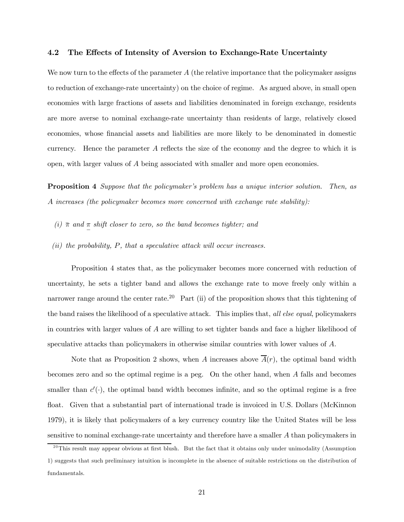## 4.2 The Effects of Intensity of Aversion to Exchange-Rate Uncertainty

We now turn to the effects of the parameter  $A$  (the relative importance that the policymaker assigns to reduction of exchange-rate uncertainty) on the choice of regime. As argued above, in small open economies with large fractions of assets and liabilities denominated in foreign exchange, residents are more averse to nominal exchange-rate uncertainty than residents of large, relatively closed economies, whose financial assets and liabilities are more likely to be denominated in domestic currency. Hence the parameter A reflects the size of the economy and the degree to which it is open, with larger values of A being associated with smaller and more open economies.

**Proposition 4** Suppose that the policymaker's problem has a unique interior solution. Then, as A increases (the policymaker becomes more concerned with exchange rate stability):

- (i)  $\bar{\pi}$  and  $\underline{\pi}$  shift closer to zero, so the band becomes tighter; and
- $(ii)$  the probability, P, that a speculative attack will occur increases.

Proposition 4 states that, as the policymaker becomes more concerned with reduction of uncertainty, he sets a tighter band and allows the exchange rate to move freely only within a narrower range around the center rate.<sup>20</sup> Part (ii) of the proposition shows that this tightening of the band raises the likelihood of a speculative attack. This implies that, all else equal, policymakers in countries with larger values of A are willing to set tighter bands and face a higher likelihood of speculative attacks than policymakers in otherwise similar countries with lower values of A.

Note that as Proposition 2 shows, when A increases above  $\overline{A}(r)$ , the optimal band width becomes zero and so the optimal regime is a peg. On the other hand, when A falls and becomes smaller than  $c'(\cdot)$ , the optimal band width becomes infinite, and so the optimal regime is a free float. Given that a substantial part of international trade is invoiced in U.S. Dollars (McKinnon 1979), it is likely that policymakers of a key currency country like the United States will be less sensitive to nominal exchange-rate uncertainty and therefore have a smaller A than policymakers in

 $^{20}$ This result may appear obvious at first blush. But the fact that it obtains only under unimodality (Assumption 1) suggests that such preliminary intuition is incomplete in the absence of suitable restrictions on the distribution of fundamentals.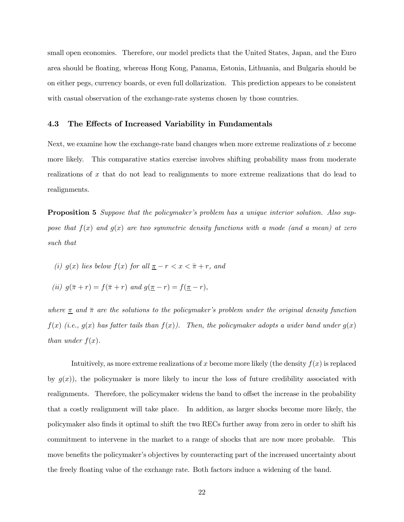small open economies. Therefore, our model predicts that the United States, Japan, and the Euro area should be floating, whereas Hong Kong, Panama, Estonia, Lithuania, and Bulgaria should be on either pegs, currency boards, or even full dollarization. This prediction appears to be consistent with casual observation of the exchange-rate systems chosen by those countries.

## 4.3 The Effects of Increased Variability in Fundamentals

Next, we examine how the exchange-rate band changes when more extreme realizations of  $x$  become more likely. This comparative statics exercise involves shifting probability mass from moderate realizations of x that do not lead to realignments to more extreme realizations that do lead to realignments.

**Proposition 5** Suppose that the policymaker's problem has a unique interior solution. Also suppose that  $f(x)$  and  $g(x)$  are two symmetric density functions with a mode (and a mean) at zero such that

- (i)  $g(x)$  lies below  $f(x)$  for all  $\underline{\pi} r < x < \overline{\pi} + r$ , and
- (ii)  $g(\overline{\pi}+r) = f(\overline{\pi}+r)$  and  $g(\underline{\pi}-r) = f(\underline{\pi}-r)$ ,

where  $\pi$  and  $\bar{\pi}$  are the solutions to the policymaker's problem under the original density function  $f(x)$  (i.e.,  $g(x)$  has fatter tails than  $f(x)$ ). Then, the policymaker adopts a wider band under  $g(x)$ than under  $f(x)$ .

Intuitively, as more extreme realizations of x become more likely (the density  $f(x)$  is replaced by  $g(x)$ , the policymaker is more likely to incur the loss of future credibility associated with realignments. Therefore, the policymaker widens the band to offset the increase in the probability that a costly realignment will take place. In addition, as larger shocks become more likely, the policymaker also finds it optimal to shift the two RECs further away from zero in order to shift his commitment to intervene in the market to a range of shocks that are now more probable. This move benefits the policymaker's objectives by counteracting part of the increased uncertainty about the freely floating value of the exchange rate. Both factors induce a widening of the band.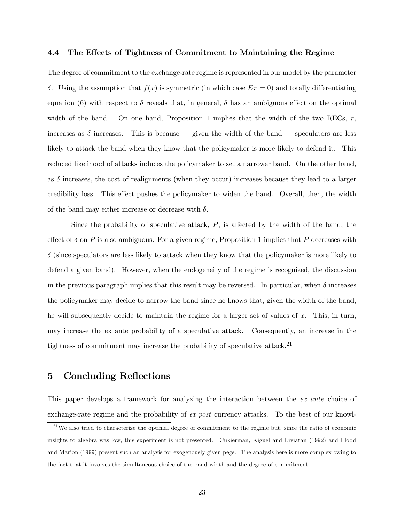## 4.4 The Effects of Tightness of Commitment to Maintaining the Regime

The degree of commitment to the exchange-rate regime is represented in our model by the parameter δ. Using the assumption that  $f(x)$  is symmetric (in which case  $E\pi = 0$ ) and totally differentiating equation (6) with respect to  $\delta$  reveals that, in general,  $\delta$  has an ambiguous effect on the optimal width of the band. On one hand, Proposition 1 implies that the width of the two RECs,  $r$ , increases as  $\delta$  increases. This is because – given the width of the band – speculators are less likely to attack the band when they know that the policymaker is more likely to defend it. This reduced likelihood of attacks induces the policymaker to set a narrower band. On the other hand, as  $\delta$  increases, the cost of realignments (when they occur) increases because they lead to a larger credibility loss. This effect pushes the policymaker to widen the band. Overall, then, the width of the band may either increase or decrease with  $\delta$ .

Since the probability of speculative attack,  $P$ , is affected by the width of the band, the effect of  $\delta$  on P is also ambiguous. For a given regime, Proposition 1 implies that P decreases with  $\delta$  (since speculators are less likely to attack when they know that the policymaker is more likely to defend a given band). However, when the endogeneity of the regime is recognized, the discussion in the previous paragraph implies that this result may be reversed. In particular, when  $\delta$  increases the policymaker may decide to narrow the band since he knows that, given the width of the band, he will subsequently decide to maintain the regime for a larger set of values of  $x$ . This, in turn, may increase the ex ante probability of a speculative attack. Consequently, an increase in the tightness of commitment may increase the probability of speculative attack.21

# 5 Concluding Reflections

This paper develops a framework for analyzing the interaction between the ex ante choice of exchange-rate regime and the probability of ex post currency attacks. To the best of our knowl-

 $2<sup>1</sup>$ We also tried to characterize the optimal degree of commitment to the regime but, since the ratio of economic insights to algebra was low, this experiment is not presented. Cukierman, Kiguel and Liviatan (1992) and Flood and Marion (1999) present such an analysis for exogenously given pegs. The analysis here is more complex owing to the fact that it involves the simultaneous choice of the band width and the degree of commitment.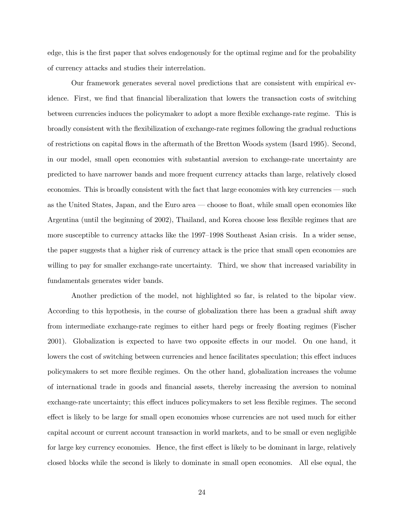edge, this is the first paper that solves endogenously for the optimal regime and for the probability of currency attacks and studies their interrelation.

Our framework generates several novel predictions that are consistent with empirical evidence. First, we find that financial liberalization that lowers the transaction costs of switching between currencies induces the policymaker to adopt a more flexible exchange-rate regime. This is broadly consistent with the flexibilization of exchange-rate regimes following the gradual reductions of restrictions on capital flows in the aftermath of the Bretton Woods system (Isard 1995). Second, in our model, small open economies with substantial aversion to exchange-rate uncertainty are predicted to have narrower bands and more frequent currency attacks than large, relatively closed economies. This is broadly consistent with the fact that large economies with key currencies – such as the United States, Japan, and the Euro area – choose to float, while small open economies like Argentina (until the beginning of 2002), Thailand, and Korea choose less flexible regimes that are more susceptible to currency attacks like the 1997—1998 Southeast Asian crisis. In a wider sense, the paper suggests that a higher risk of currency attack is the price that small open economies are willing to pay for smaller exchange-rate uncertainty. Third, we show that increased variability in fundamentals generates wider bands.

Another prediction of the model, not highlighted so far, is related to the bipolar view. According to this hypothesis, in the course of globalization there has been a gradual shift away from intermediate exchange-rate regimes to either hard pegs or freely floating regimes (Fischer 2001). Globalization is expected to have two opposite effects in our model. On one hand, it lowers the cost of switching between currencies and hence facilitates speculation; this effect induces policymakers to set more flexible regimes. On the other hand, globalization increases the volume of international trade in goods and financial assets, thereby increasing the aversion to nominal exchange-rate uncertainty; this effect induces policymakers to set less flexible regimes. The second effect is likely to be large for small open economies whose currencies are not used much for either capital account or current account transaction in world markets, and to be small or even negligible for large key currency economies. Hence, the first effect is likely to be dominant in large, relatively closed blocks while the second is likely to dominate in small open economies. All else equal, the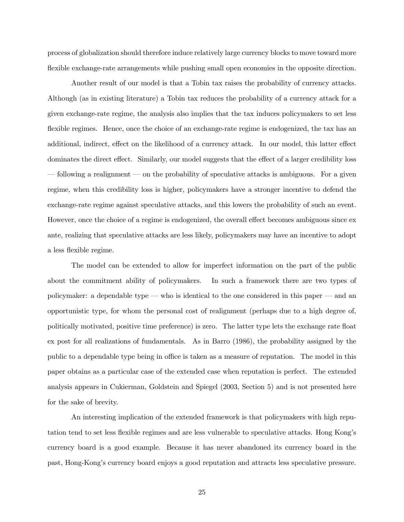process of globalization should therefore induce relatively large currency blocks to move toward more flexible exchange-rate arrangements while pushing small open economies in the opposite direction.

Another result of our model is that a Tobin tax raises the probability of currency attacks. Although (as in existing literature) a Tobin tax reduces the probability of a currency attack for a given exchange-rate regime, the analysis also implies that the tax induces policymakers to set less flexible regimes. Hence, once the choice of an exchange-rate regime is endogenized, the tax has an additional, indirect, effect on the likelihood of a currency attack. In our model, this latter effect dominates the direct effect. Similarly, our model suggests that the effect of a larger credibility loss  $-$  following a realignment  $-$  on the probability of speculative attacks is ambiguous. For a given regime, when this credibility loss is higher, policymakers have a stronger incentive to defend the exchange-rate regime against speculative attacks, and this lowers the probability of such an event. However, once the choice of a regime is endogenized, the overall effect becomes ambiguous since ex ante, realizing that speculative attacks are less likely, policymakers may have an incentive to adopt a less flexible regime.

The model can be extended to allow for imperfect information on the part of the public about the commitment ability of policymakers. In such a framework there are two types of policymaker: a dependable type – who is identical to the one considered in this paper – and an opportunistic type, for whom the personal cost of realignment (perhaps due to a high degree of, politically motivated, positive time preference) is zero. The latter type lets the exchange rate float ex post for all realizations of fundamentals. As in Barro (1986), the probability assigned by the public to a dependable type being in office is taken as a measure of reputation. The model in this paper obtains as a particular case of the extended case when reputation is perfect. The extended analysis appears in Cukierman, Goldstein and Spiegel (2003, Section 5) and is not presented here for the sake of brevity.

An interesting implication of the extended framework is that policymakers with high reputation tend to set less flexible regimes and are less vulnerable to speculative attacks. Hong Kong's currency board is a good example. Because it has never abandoned its currency board in the past, Hong-Kong's currency board enjoys a good reputation and attracts less speculative pressure.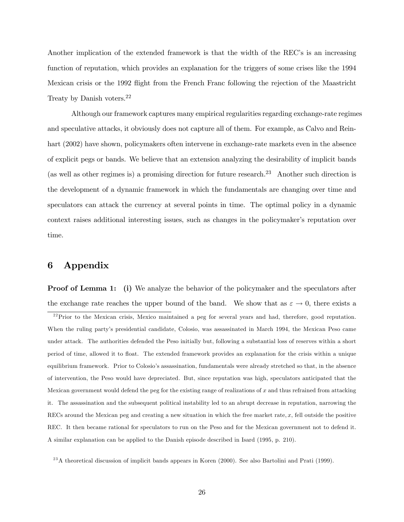Another implication of the extended framework is that the width of the REC's is an increasing function of reputation, which provides an explanation for the triggers of some crises like the 1994 Mexican crisis or the 1992 flight from the French Franc following the rejection of the Maastricht Treaty by Danish voters.<sup>22</sup>

Although our framework captures many empirical regularities regarding exchange-rate regimes and speculative attacks, it obviously does not capture all of them. For example, as Calvo and Reinhart (2002) have shown, policymakers often intervene in exchange-rate markets even in the absence of explicit pegs or bands. We believe that an extension analyzing the desirability of implicit bands (as well as other regimes is) a promising direction for future research.23 Another such direction is the development of a dynamic framework in which the fundamentals are changing over time and speculators can attack the currency at several points in time. The optimal policy in a dynamic context raises additional interesting issues, such as changes in the policymaker's reputation over time.

# 6 Appendix

**Proof of Lemma 1:** (i) We analyze the behavior of the policymaker and the speculators after the exchange rate reaches the upper bound of the band. We show that as  $\varepsilon \to 0$ , there exists a

<sup>&</sup>lt;sup>22</sup>Prior to the Mexican crisis, Mexico maintained a peg for several years and had, therefore, good reputation. When the ruling party's presidential candidate, Colosio, was assassinated in March 1994, the Mexican Peso came under attack. The authorities defended the Peso initially but, following a substantial loss of reserves within a short period of time, allowed it to float. The extended framework provides an explanation for the crisis within a unique equilibrium framework. Prior to Colosio's assassination, fundamentals were already stretched so that, in the absence of intervention, the Peso would have depreciated. But, since reputation was high, speculators anticipated that the Mexican government would defend the peg for the existing range of realizations of  $x$  and thus refrained from attacking it. The assassination and the subsequent political instability led to an abrupt decrease in reputation, narrowing the RECs around the Mexican peg and creating a new situation in which the free market rate,  $x$ , fell outside the positive REC. It then became rational for speculators to run on the Peso and for the Mexican government not to defend it. A similar explanation can be applied to the Danish episode described in Isard (1995, p. 210).

 $^{23}$ A theoretical discussion of implicit bands appears in Koren (2000). See also Bartolini and Prati (1999).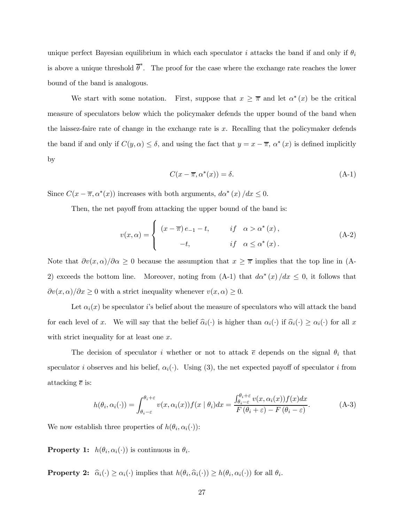unique perfect Bayesian equilibrium in which each speculator i attacks the band if and only if  $\theta_i$ is above a unique threshold  $\overline{\theta}^*$ . The proof for the case where the exchange rate reaches the lower bound of the band is analogous.

We start with some notation. First, suppose that  $x \geq \overline{\pi}$  and let  $\alpha^*(x)$  be the critical measure of speculators below which the policymaker defends the upper bound of the band when the laissez-faire rate of change in the exchange rate is  $x$ . Recalling that the policymaker defends the band if and only if  $C(y, \alpha) \leq \delta$ , and using the fact that  $y = x - \overline{\pi}$ ,  $\alpha^*(x)$  is defined implicitly by

$$
C(x - \overline{\pi}, \alpha^*(x)) = \delta. \tag{A-1}
$$

Since  $C(x - \overline{\pi}, \alpha^*(x))$  increases with both arguments,  $d\alpha^*(x)/dx \leq 0$ .

Then, the net payoff from attacking the upper bound of the band is:

$$
v(x,\alpha) = \begin{cases} (x-\overline{\pi})e_{-1} - t, & if \alpha > \alpha^*(x), \\ -t, & if \alpha \le \alpha^*(x). \end{cases}
$$
 (A-2)

Note that  $\partial v(x,\alpha)/\partial \alpha \geq 0$  because the assumption that  $x \geq \overline{\pi}$  implies that the top line in (A-2) exceeds the bottom line. Moreover, noting from  $(A-1)$  that  $d\alpha^*(x)/dx \leq 0$ , it follows that  $\frac{\partial v(x, \alpha)}{\partial x} \geq 0$  with a strict inequality whenever  $v(x, \alpha) \geq 0$ .

Let  $\alpha_i(x)$  be speculator is belief about the measure of speculators who will attack the band for each level of x. We will say that the belief  $\widehat{\alpha}_i(\cdot)$  is higher than  $\alpha_i(\cdot)$  if  $\widehat{\alpha}_i(\cdot) \ge \alpha_i(\cdot)$  for all x with strict inequality for at least one x.

The decision of speculator i whether or not to attack  $\bar{e}$  depends on the signal  $\theta_i$  that speculator i observes and his belief,  $\alpha_i(\cdot)$ . Using (3), the net expected payoff of speculator i from attacking  $\overline{e}$  is:

$$
h(\theta_i, \alpha_i(\cdot)) = \int_{\theta_i - \varepsilon}^{\theta_i + \varepsilon} v(x, \alpha_i(x)) f(x \mid \theta_i) dx = \frac{\int_{\theta_i - \varepsilon}^{\theta_i + \varepsilon} v(x, \alpha_i(x)) f(x) dx}{F(\theta_i + \varepsilon) - F(\theta_i - \varepsilon)}.
$$
 (A-3)

We now establish three properties of  $h(\theta_i, \alpha_i(\cdot))$ :

**Property 1:**  $h(\theta_i, \alpha_i(\cdot))$  is continuous in  $\theta_i$ .

**Property 2:**  $\widehat{\alpha}_i(\cdot) \geq \alpha_i(\cdot)$  implies that  $h(\theta_i, \widehat{\alpha}_i(\cdot)) \geq h(\theta_i, \alpha_i(\cdot))$  for all  $\theta_i$ .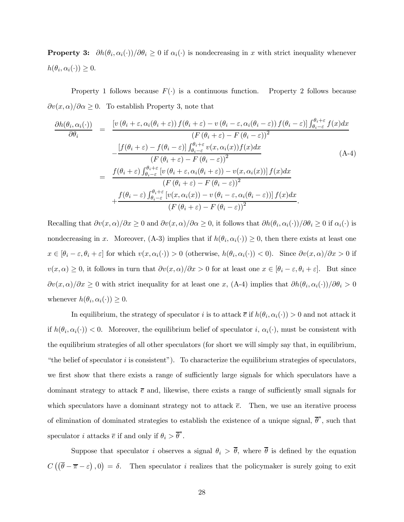**Property 3:**  $\partial h(\theta_i, \alpha_i(\cdot))/\partial \theta_i \geq 0$  if  $\alpha_i(\cdot)$  is nondecreasing in x with strict inequality whenever  $h(\theta_i, \alpha_i(\cdot)) \geq 0.$ 

Property 1 follows because  $F(\cdot)$  is a continuous function. Property 2 follows because  $\frac{\partial v(x,\alpha)}{\partial \alpha} \geq 0$ . To establish Property 3, note that

$$
\frac{\partial h(\theta_i, \alpha_i(\cdot))}{\partial \theta_i} = \frac{[v(\theta_i + \varepsilon, \alpha_i(\theta_i + \varepsilon)) f(\theta_i + \varepsilon) - v(\theta_i - \varepsilon, \alpha_i(\theta_i - \varepsilon)) f(\theta_i - \varepsilon)] \int_{\theta_i - \varepsilon}^{\theta_i + \varepsilon} f(x) dx}{(F(\theta_i + \varepsilon) - F(\theta_i - \varepsilon)) \int_{\theta_i - \varepsilon}^{\theta_i + \varepsilon} v(x, \alpha_i(x)) f(x) dx} \frac{[f(\theta_i + \varepsilon) - f(\theta_i - \varepsilon)] \int_{\theta_i - \varepsilon}^{\theta_i + \varepsilon} v(x, \alpha_i(x)) f(x) dx}{(F(\theta_i + \varepsilon) - F(\theta_i - \varepsilon))^2} \frac{f(\theta_i + \varepsilon) \int_{\theta_i - \varepsilon}^{\theta_i + \varepsilon} [v(\theta_i + \varepsilon, \alpha_i(\theta_i + \varepsilon)) - v(x, \alpha_i(x))] f(x) dx}{(F(\theta_i + \varepsilon) - F(\theta_i - \varepsilon))^2} + \frac{f(\theta_i - \varepsilon) \int_{\theta_i - \varepsilon}^{\theta_i + \varepsilon} [v(x, \alpha_i(x)) - v(\theta_i - \varepsilon, \alpha_i(\theta_i - \varepsilon))] f(x) dx}{(F(\theta_i + \varepsilon) - F(\theta_i - \varepsilon))^2}.
$$
\n(A-4)

Recalling that  $\partial v(x, \alpha)/\partial x \ge 0$  and  $\partial v(x, \alpha)/\partial \alpha \ge 0$ , it follows that  $\partial h(\theta_i, \alpha_i(\cdot))/\partial \theta_i \ge 0$  if  $\alpha_i(\cdot)$  is nondecreasing in x. Moreover, (A-3) implies that if  $h(\theta_i, \alpha_i(\cdot)) \geq 0$ , then there exists at least one  $x \in [\theta_i - \varepsilon, \theta_i + \varepsilon]$  for which  $v(x, \alpha_i(\cdot)) > 0$  (otherwise,  $h(\theta_i, \alpha_i(\cdot)) < 0$ ). Since  $\partial v(x, \alpha)/\partial x > 0$  if  $v(x, \alpha) \geq 0$ , it follows in turn that  $\partial v(x, \alpha)/\partial x > 0$  for at least one  $x \in [\theta_i - \varepsilon, \theta_i + \varepsilon]$ . But since  $\partial v(x, \alpha)/\partial x \geq 0$  with strict inequality for at least one x, (A-4) implies that  $\partial h(\theta_i, \alpha_i(\cdot))/\partial \theta_i > 0$ whenever  $h(\theta_i, \alpha_i(\cdot)) \geq 0$ .

In equilibrium, the strategy of speculator i is to attack  $\bar{e}$  if  $h(\theta_i, \alpha_i(\cdot)) > 0$  and not attack it if  $h(\theta_i, \alpha_i(\cdot)) < 0$ . Moreover, the equilibrium belief of speculator i,  $\alpha_i(\cdot)$ , must be consistent with the equilibrium strategies of all other speculators (for short we will simply say that, in equilibrium, "the belief of speculator  $i$  is consistent"). To characterize the equilibrium strategies of speculators, we first show that there exists a range of sufficiently large signals for which speculators have a dominant strategy to attack  $\bar{e}$  and, likewise, there exists a range of sufficiently small signals for which speculators have a dominant strategy not to attack  $\bar{e}$ . Then, we use an iterative process of elimination of dominated strategies to establish the existence of a unique signal,  $\bar{\theta}^*$ , such that speculator *i* attacks  $\overline{e}$  if and only if  $\theta_i > \overline{\theta}^*$ .

Suppose that speculator i observes a signal  $\theta_i > \overline{\theta}$ , where  $\overline{\theta}$  is defined by the equation  $C\left(\left(\overline{\theta}-\overline{\pi}-\varepsilon\right),0\right)=\delta$ . Then speculator i realizes that the policymaker is surely going to exit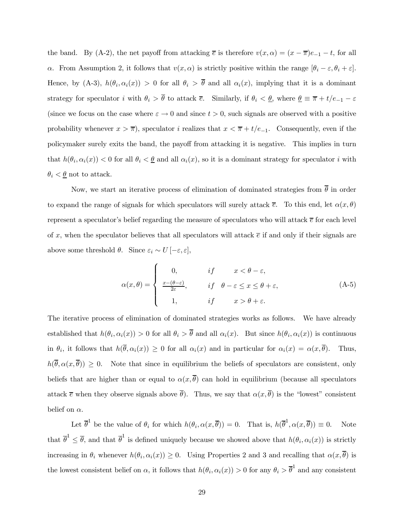the band. By (A-2), the net payoff from attacking  $\bar{e}$  is therefore  $v(x, \alpha)=(x - \bar{\pi})e_{-1} - t$ , for all α. From Assumption 2, it follows that  $v(x, \alpha)$  is strictly positive within the range  $[\theta_i - \varepsilon, \theta_i + \varepsilon]$ . Hence, by (A-3),  $h(\theta_i, \alpha_i(x)) > 0$  for all  $\theta_i > \overline{\theta}$  and all  $\alpha_i(x)$ , implying that it is a dominant strategy for speculator i with  $\theta_i > \overline{\theta}$  to attack  $\overline{e}$ . Similarly, if  $\theta_i < \underline{\theta}$ , where  $\underline{\theta} \equiv \overline{\pi} + t/e_{-1} - \varepsilon$ (since we focus on the case where  $\varepsilon \to 0$  and since  $t > 0$ , such signals are observed with a positive probability whenever  $x > \overline{\pi}$ , speculator i realizes that  $x < \overline{\pi} + t/e_{-1}$ . Consequently, even if the policymaker surely exits the band, the payoff from attacking it is negative. This implies in turn that  $h(\theta_i, \alpha_i(x)) < 0$  for all  $\theta_i < \underline{\theta}$  and all  $\alpha_i(x)$ , so it is a dominant strategy for speculator i with  $\theta_i < \underline{\theta}$  not to attack.

Now, we start an iterative process of elimination of dominated strategies from  $\overline{\theta}$  in order to expand the range of signals for which speculators will surely attack  $\bar{e}$ . To this end, let  $\alpha(x, \theta)$ represent a speculator's belief regarding the measure of speculators who will attack  $\bar{e}$  for each level of x, when the speculator believes that all speculators will attack  $\bar{e}$  if and only if their signals are above some threshold  $\theta$ . Since  $\varepsilon_i \sim U\left[-\varepsilon, \varepsilon\right]$ ,

$$
\alpha(x,\theta) = \begin{cases}\n0, & if \quad x < \theta - \varepsilon, \\
\frac{x - (\theta - \varepsilon)}{2\varepsilon}, & if \quad \theta - \varepsilon \le x \le \theta + \varepsilon, \\
1, & if \quad x > \theta + \varepsilon.\n\end{cases} (A-5)
$$

The iterative process of elimination of dominated strategies works as follows. We have already established that  $h(\theta_i, \alpha_i(x)) > 0$  for all  $\theta_i > \overline{\theta}$  and all  $\alpha_i(x)$ . But since  $h(\theta_i, \alpha_i(x))$  is continuous in  $\theta_i$ , it follows that  $h(\overline{\theta}, \alpha_i(x)) \geq 0$  for all  $\alpha_i(x)$  and in particular for  $\alpha_i(x) = \alpha(x, \overline{\theta})$ . Thus,  $h(\overline{\theta}, \alpha(x, \overline{\theta})) \geq 0$ . Note that since in equilibrium the beliefs of speculators are consistent, only beliefs that are higher than or equal to  $\alpha(x, \overline{\theta})$  can hold in equilibrium (because all speculators attack  $\bar{e}$  when they observe signals above  $\bar{\theta}$ ). Thus, we say that  $\alpha(x, \bar{\theta})$  is the "lowest" consistent belief on  $\alpha$ .

Let  $\overline{\theta}^1$  be the value of  $\theta_i$  for which  $h(\theta_i, \alpha(x, \overline{\theta})) = 0$ . That is,  $h(\overline{\theta}^1, \alpha(x, \overline{\theta})) \equiv 0$ . Note that  $\overline{\theta}^1 \leq \overline{\theta}$ , and that  $\overline{\theta}^1$  is defined uniquely because we showed above that  $h(\theta_i, \alpha_i(x))$  is strictly increasing in  $\theta_i$  whenever  $h(\theta_i, \alpha_i(x)) \geq 0$ . Using Properties 2 and 3 and recalling that  $\alpha(x, \overline{\theta})$  is the lowest consistent belief on  $\alpha$ , it follows that  $h(\theta_i, \alpha_i(x)) > 0$  for any  $\theta_i > \overline{\theta}^1$  and any consistent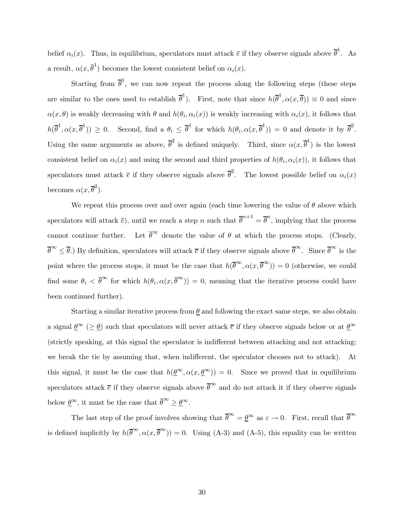belief  $\alpha_i(x)$ . Thus, in equilibrium, speculators must attack  $\bar{e}$  if they observe signals above  $\bar{\theta}^1$ . As a result,  $\alpha(x, \overline{\theta}^1)$  becomes the lowest consistent belief on  $\alpha_i(x)$ .

Starting from  $\bar{\theta}^1$ , we can now repeat the process along the following steps (these steps are similar to the ones used to establish  $\overline{\theta}^1$ ). First, note that since  $h(\overline{\theta}^1, \alpha(x, \overline{\theta})) \equiv 0$  and since  $\alpha(x, \theta)$  is weakly decreasing with  $\theta$  and  $h(\theta_i, \alpha_i(x))$  is weakly increasing with  $\alpha_i(x)$ , it follows that  $h(\overline{\theta}^1, \alpha(x, \overline{\theta}^1)) \geq 0$ . Second, find a  $\theta_i \leq \overline{\theta}^1$  for which  $h(\theta_i, \alpha(x, \overline{\theta}^1)) = 0$  and denote it by  $\overline{\theta}^2$ . Using the same arguments as above,  $\bar{\theta}^2$  is defined uniquely. Third, since  $\alpha(x,\bar{\theta}^1)$  is the lowest consistent belief on  $\alpha_i(x)$  and using the second and third properties of  $h(\theta_i, \alpha_i(x))$ , it follows that speculators must attack  $\bar{e}$  if they observe signals above  $\bar{\theta}^2$ . The lowest possible belief on  $\alpha_i(x)$ becomes  $\alpha(x, \overline{\theta}^2)$ .

We repeat this process over and over again (each time lowering the value of  $\theta$  above which speculators will attack  $\bar{e}$ ), until we reach a step n such that  $\bar{\theta}^{n+1} = \bar{\theta}^n$ , implying that the process cannot continue further. Let  $\overline{\theta}^{\infty}$  denote the value of  $\theta$  at which the process stops. (Clearly,  $\overline{\theta}^{\infty} \leq \overline{\theta}$ .) By definition, speculators will attack  $\overline{e}$  if they observe signals above  $\overline{\theta}^{\infty}$ . Since  $\overline{\theta}^{\infty}$  is the point where the process stops, it must be the case that  $h(\overline{\theta}^{\infty}, \alpha(x, \overline{\theta}^{\infty})) = 0$  (otherwise, we could find some  $\theta_i < \overline{\theta}^{\infty}$  for which  $h(\theta_i, \alpha(x, \overline{\theta}^{\infty})) = 0$ , meaning that the iterative process could have been continued further).

Starting a similar iterative process from  $\underline{\theta}$  and following the exact same steps, we also obtain a signal  $\underline{\theta}^{\infty}$  ( $\geq \underline{\theta}$ ) such that speculators will never attack  $\overline{e}$  if they observe signals below or at  $\underline{\theta}^{\infty}$ (strictly speaking, at this signal the speculator is indifferent between attacking and not attacking; we break the tie by assuming that, when indifferent, the speculator chooses not to attack). At this signal, it must be the case that  $h(\underline{\theta}^{\infty}, \alpha(x, \underline{\theta}^{\infty})) = 0$ . Since we proved that in equilibrium speculators attack  $\bar{e}$  if they observe signals above  $\bar{\theta}^{\infty}$  and do not attack it if they observe signals below  $\underline{\theta}^{\infty}$ , it must be the case that  $\overline{\theta}^{\infty} \geq \underline{\theta}^{\infty}$ .

The last step of the proof involves showing that  $\overline{\theta}^{\infty} = \underline{\theta}^{\infty}$  as  $\varepsilon \to 0$ . First, recall that  $\overline{\theta}^{\infty}$ is defined implicitly by  $h(\overline{\theta}^{\infty}, \alpha(x, \overline{\theta}^{\infty})) = 0$ . Using (A-3) and (A-5), this equality can be written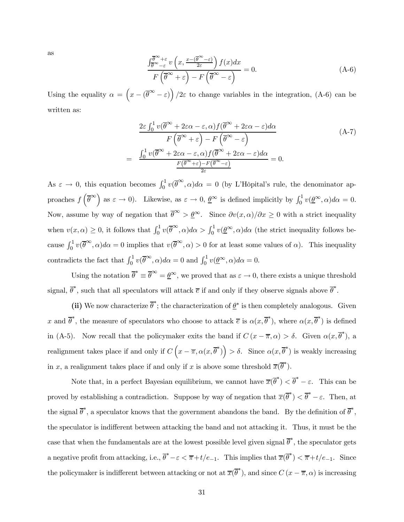as

$$
\frac{\int_{\overline{\theta}^{\infty}+\varepsilon}^{\overline{\theta}^{\infty}+\varepsilon}v\left(x,\frac{x-(\overline{\theta}^{\infty}-\varepsilon)}{2\varepsilon}\right)f(x)dx}{F\left(\overline{\theta}^{\infty}+\varepsilon\right)-F\left(\overline{\theta}^{\infty}-\varepsilon\right)}=0.
$$
\n(A-6)

Using the equality  $\alpha = \left(x - \left(\overline{\theta}^{\infty} - \varepsilon\right)\right)/2\varepsilon$  to change variables in the integration, (A-6) can be written as:

=

$$
\frac{2\varepsilon \int_0^1 v(\overline{\theta}^{\infty} + 2\varepsilon\alpha - \varepsilon, \alpha) f(\overline{\theta}^{\infty} + 2\varepsilon\alpha - \varepsilon) d\alpha}{F(\overline{\theta}^{\infty} + \varepsilon) - F(\overline{\theta}^{\infty} - \varepsilon)}
$$
(A-7)  

$$
= \frac{\int_0^1 v(\overline{\theta}^{\infty} + 2\varepsilon\alpha - \varepsilon, \alpha) f(\overline{\theta}^{\infty} + 2\varepsilon\alpha - \varepsilon) d\alpha}{F(\overline{\theta}^{\infty} + \varepsilon) - F(\overline{\theta}^{\infty} - \varepsilon)} = 0.
$$

As  $\varepsilon \to 0$ , this equation becomes  $\int_0^1 v(\overline{\theta}^{\infty}, \alpha) d\alpha = 0$  (by L'Hôpital's rule, the denominator approaches  $f\left(\overline{\theta}^{\infty}\right)$  as  $\varepsilon \to 0$ ). Likewise, as  $\varepsilon \to 0$ ,  $\underline{\theta}^{\infty}$  is defined implicitly by  $\int_0^1 v(\underline{\theta}^{\infty}, \alpha) d\alpha = 0$ . Now, assume by way of negation that  $\bar{\theta}^{\infty} > \underline{\theta}^{\infty}$ . Since  $\partial v(x, \alpha)/\partial x \geq 0$  with a strict inequality when  $v(x, \alpha) \geq 0$ , it follows that  $\int_0^1 v(\overline{\theta}^{\infty}, \alpha) d\alpha > \int_0^1 v(\underline{\theta}^{\infty}, \alpha) d\alpha$  (the strict inequality follows because  $\int_0^1 v(\overline{\theta}^{\infty}, \alpha) d\alpha = 0$  implies that  $v(\overline{\theta}^{\infty}, \alpha) > 0$  for at least some values of  $\alpha$ ). This inequality contradicts the fact that  $\int_0^1 v(\overline{\theta}^{\infty}, \alpha) d\alpha = 0$  and  $\int_0^1 v(\underline{\theta}^{\infty}, \alpha) d\alpha = 0$ .

Using the notation  $\overline{\theta}^* \equiv \overline{\theta}^{\infty} = \underline{\theta}^{\infty}$ , we proved that as  $\varepsilon \to 0$ , there exists a unique threshold signal,  $\overline{\theta}^*$ , such that all speculators will attack  $\overline{e}$  if and only if they observe signals above  $\overline{\theta}^*$ .

(ii) We now characterize  $\overline{\theta}^*$ ; the characterization of  $\underline{\theta}^*$  is then completely analogous. Given x and  $\overline{\theta}^*$ , the measure of speculators who choose to attack  $\overline{e}$  is  $\alpha(x,\overline{\theta}^*)$ , where  $\alpha(x,\overline{\theta}^*)$  is defined in (A-5). Now recall that the policymaker exits the band if  $C(x - \overline{\pi}, \alpha) > \delta$ . Given  $\alpha(x, \overline{\theta}^*)$ , a realignment takes place if and only if  $C\left(x-\overline{\pi}, \alpha(x, \overline{\theta}^*)\right) > \delta$ . Since  $\alpha(x, \overline{\theta}^*)$  is weakly increasing in x, a realignment takes place if and only if x is above some threshold  $\overline{x}(\overline{\theta}^*)$ .

Note that, in a perfect Bayesian equilibrium, we cannot have  $\overline{x}(\overline{\theta}^*) < \overline{\theta}^* - \varepsilon$ . This can be proved by establishing a contradiction. Suppose by way of negation that  $\overline{x}(\overline{\theta}^*) < \overline{\theta}^* - \varepsilon$ . Then, at the signal  $\overline{\theta}^*$ , a speculator knows that the government abandons the band. By the definition of  $\overline{\theta}^*$ , the speculator is indifferent between attacking the band and not attacking it. Thus, it must be the case that when the fundamentals are at the lowest possible level given signal  $\overline{\theta}^*$ , the speculator gets a negative profit from attacking, i.e.,  $\overline{\theta}^* - \varepsilon < \overline{\pi} + t/e_{-1}$ . This implies that  $\overline{x}(\overline{\theta}^*) < \overline{\pi} + t/e_{-1}$ . Since the policymaker is indifferent between attacking or not at  $\overline{x}(\overline{\theta}^*)$ , and since  $C(x - \overline{x}, \alpha)$  is increasing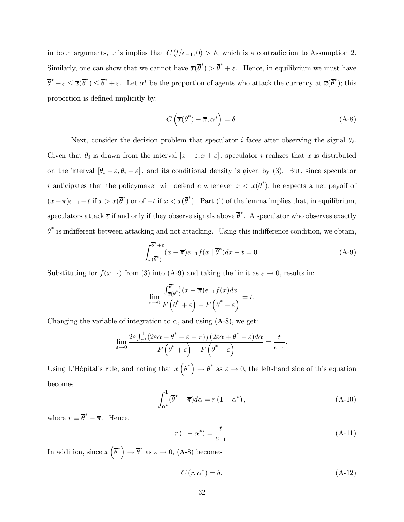in both arguments, this implies that  $C(t/e_{-1}, 0) > \delta$ , which is a contradiction to Assumption 2. Similarly, one can show that we cannot have  $\overline{x}(\overline{\theta}^*) > \overline{\theta}^* + \varepsilon$ . Hence, in equilibrium we must have  $\overline{\theta}^* - \varepsilon \leq \overline{x}(\overline{\theta}^*) \leq \overline{\theta}^* + \varepsilon$ . Let  $\alpha^*$  be the proportion of agents who attack the currency at  $\overline{x}(\overline{\theta}^*)$ ; this proportion is defined implicitly by:

$$
C\left(\overline{x}(\overline{\theta}^*) - \overline{\pi}, \alpha^*\right) = \delta. \tag{A-8}
$$

Next, consider the decision problem that speculator i faces after observing the signal  $\theta_i$ . Given that  $\theta_i$  is drawn from the interval  $[x - \varepsilon, x + \varepsilon]$ , speculator i realizes that x is distributed on the interval  $[\theta_i - \varepsilon, \theta_i + \varepsilon]$ , and its conditional density is given by (3). But, since speculator *i* anticipates that the policymaker will defend  $\bar{e}$  whenever  $x < \bar{x}(\bar{\theta}^*)$ , he expects a net payoff of  $(x - \overline{\pi})e_{-1} - t$  if  $x > \overline{x}(\overline{\theta}^*)$  or of  $-t$  if  $x < \overline{x}(\overline{\theta}^*)$ . Part (i) of the lemma implies that, in equilibrium, speculators attack  $\bar{e}$  if and only if they observe signals above  $\bar{\theta}^*$ . A speculator who observes exactly  $\overline{\theta}^*$  is indifferent between attacking and not attacking. Using this indifference condition, we obtain,

$$
\int_{\overline{x}(\overline{\theta}^*)}^{\overline{\theta}^*+\varepsilon} (x-\overline{\pi})e_{-1}f(x|\overline{\theta}^*)dx - t = 0.
$$
 (A-9)

Substituting for  $f(x | \cdot)$  from (3) into (A-9) and taking the limit as  $\varepsilon \to 0$ , results in:

$$
\lim_{\varepsilon \to 0} \frac{\int_{\overline{x}(\overline{\theta}^*)}^{\overline{\theta}^*+\varepsilon} (x - \overline{\pi}) e_{-1} f(x) dx}{F\left(\overline{\theta}^* + \varepsilon\right) - F\left(\overline{\theta}^* - \varepsilon\right)} = t.
$$

Changing the variable of integration to  $\alpha$ , and using (A-8), we get:

$$
\lim_{\varepsilon \to 0} \frac{2\varepsilon \int_{\alpha^*}^1 (2\varepsilon \alpha + \overline{\theta}^* - \varepsilon - \overline{\pi}) f(2\varepsilon \alpha + \overline{\theta}^* - \varepsilon) d\alpha}{F(\overline{\theta}^* + \varepsilon) - F(\overline{\theta}^* - \varepsilon)} = \frac{t}{e_{-1}}.
$$

Using L'Hôpital's rule, and noting that  $\overline{x}(\overline{\theta}^*) \to \overline{\theta}^*$  as  $\varepsilon \to 0$ , the left-hand side of this equation becomes

$$
\int_{\alpha^*}^1 (\overline{\theta}^* - \overline{\pi}) d\alpha = r (1 - \alpha^*), \qquad (A-10)
$$

where  $r \equiv \overline{\theta}^* - \overline{\pi}$ . Hence,

$$
r(1 - \alpha^*) = \frac{t}{e_{-1}}.\tag{A-11}
$$

In addition, since  $\overline{x}(\overline{\theta}^*) \to \overline{\theta}^*$  as  $\varepsilon \to 0$ , (A-8) becomes

$$
C(r, \alpha^*) = \delta. \tag{A-12}
$$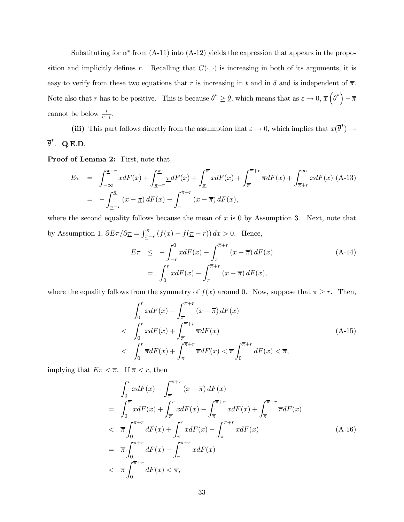Substituting for  $\alpha^*$  from (A-11) into (A-12) yields the expression that appears in the proposition and implicitly defines r. Recalling that  $C(\cdot, \cdot)$  is increasing in both of its arguments, it is easy to verify from these two equations that r is increasing in t and in  $\delta$  and is independent of  $\overline{\pi}$ . Note also that r has to be positive. This is because  $\overline{\theta}^* \geq \underline{\theta}$ , which means that as  $\varepsilon \to 0$ ,  $\overline{x}(\overline{\theta}^*) - \overline{\pi}$ cannot be below  $\frac{t}{e-1}$ .

(iii) This part follows directly from the assumption that  $\varepsilon \to 0$ , which implies that  $\overline{x}(\overline{\theta}^*) \to$  $\overline{\theta}^*$ . Q.E.D.

Proof of Lemma 2: First, note that

$$
E\pi = \int_{-\infty}^{\frac{\pi}{2}-r} x dF(x) + \int_{\frac{\pi}{2}-r}^{\frac{\pi}{2}} \underline{\pi} dF(x) + \int_{\frac{\pi}{2}}^{\frac{\pi}{2}} x dF(x) + \int_{\frac{\pi}{2}}^{\frac{\pi}{2}+r} \overline{\pi} dF(x) + \int_{\frac{\pi}{2}+r}^{\infty} x dF(x)
$$
 (A-13)  
= 
$$
-\int_{\frac{\pi}{2}-r}^{\frac{\pi}{2}} (x-\underline{\pi}) dF(x) - \int_{\frac{\pi}{2}}^{\frac{\pi}{2}+r} (x-\overline{\pi}) dF(x),
$$

where the second equality follows because the mean of  $x$  is 0 by Assumption 3. Next, note that by Assumption 1,  $\partial E \pi / \partial \underline{\pi} = \int_{\underline{\pi}-r}^{\underline{\pi}} (f(x) - f(\underline{\pi} - r)) dx > 0$ . Hence,

$$
E\pi \le -\int_{-r}^{0} x dF(x) - \int_{\overline{\pi}}^{\overline{\pi}+r} (x - \overline{\pi}) dF(x)
$$
  
= 
$$
\int_{0}^{r} x dF(x) - \int_{\overline{\pi}}^{\overline{\pi}+r} (x - \overline{\pi}) dF(x),
$$
 (A-14)

where the equality follows from the symmetry of  $f(x)$  around 0. Now, suppose that  $\overline{x} \geq r$ . Then,

$$
\int_0^r x dF(x) - \int_{\overline{\pi}}^{\overline{\pi}+r} (x - \overline{\pi}) dF(x)
$$
\n
$$
< \int_0^r x dF(x) + \int_{\overline{\pi}}^{\overline{\pi}+r} \overline{\pi} dF(x)
$$
\n
$$
< \int_0^r \overline{\pi} dF(x) + \int_{\overline{\pi}}^{\overline{\pi}+r} \overline{\pi} dF(x) < \overline{\pi} \int_0^{\overline{\pi}+r} dF(x) < \overline{\pi},
$$
\n(A-15)

implying that  $E\pi < \overline{\pi}$ . If  $\overline{\pi} < r$ , then

$$
\int_0^r x dF(x) - \int_{\overline{\pi}}^{\overline{\pi}+r} (x - \overline{\pi}) dF(x)
$$
\n
$$
= \int_0^{\overline{\pi}} x dF(x) + \int_{\overline{\pi}}^r x dF(x) - \int_{\overline{\pi}}^{\overline{\pi}+r} x dF(x) + \int_{\overline{\pi}}^{\overline{\pi}+r} \overline{\pi} dF(x)
$$
\n
$$
< \overline{\pi} \int_0^{\overline{\pi}+r} dF(x) + \int_{\overline{\pi}}^r x dF(x) - \int_{\overline{\pi}}^{\overline{\pi}+r} x dF(x)
$$
\n
$$
= \overline{\pi} \int_0^{\overline{\pi}+r} dF(x) - \int_r^{\overline{\pi}+r} x dF(x)
$$
\n
$$
< \overline{\pi} \int_0^{\overline{\pi}+r} dF(x) < \overline{\pi},
$$
\n(A-16)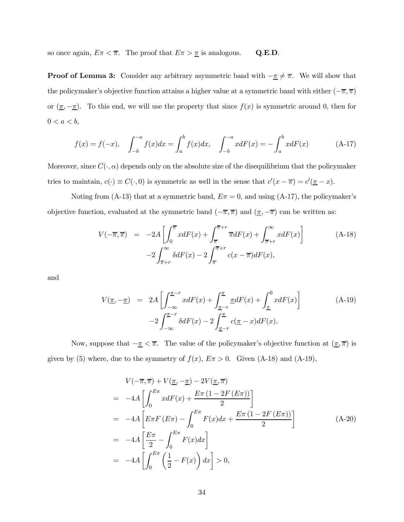so once again,  $E\pi < \overline{\pi}$ . The proof that  $E\pi > \underline{\pi}$  is analogous. Q.E.D.

**Proof of Lemma 3:** Consider any arbitrary asymmetric band with  $-\pi \neq \overline{\pi}$ . We will show that the policymaker's objective function attains a higher value at a symmetric band with either  $(-\overline{\pi}, \overline{\pi})$ or  $(\underline{\pi}, -\underline{\pi})$ . To this end, we will use the property that since  $f(x)$  is symmetric around 0, then for  $0 < a < b,$ 

$$
f(x) = f(-x), \quad \int_{-b}^{-a} f(x)dx = \int_{a}^{b} f(x)dx, \quad \int_{-b}^{-a} x dF(x) = -\int_{a}^{b} x dF(x) \tag{A-17}
$$

Moreover, since  $C(\cdot, \alpha)$  depends only on the absolute size of the disequilibrium that the policymaker tries to maintain,  $c(\cdot) \equiv C(\cdot, 0)$  is symmetric as well in the sense that  $c'(x - \overline{\pi}) = c'(\overline{x} - x)$ .

Noting from (A-13) that at a symmetric band,  $E\pi = 0$ , and using (A-17), the policymaker's objective function, evaluated at the symmetric band  $(-\overline{\pi}, \overline{\pi})$  and  $(\underline{\pi}, -\overline{\pi})$  can be written as:

$$
V(-\overline{\pi}, \overline{\pi}) = -2A \left[ \int_0^{\overline{\pi}} x dF(x) + \int_{\overline{\pi}}^{\overline{\pi}+r} \overline{\pi} dF(x) + \int_{\overline{\pi}+r}^{\infty} x dF(x) \right]
$$
\n
$$
-2 \int_{\overline{\pi}+r}^{\infty} \delta dF(x) - 2 \int_{\overline{\pi}}^{\overline{\pi}+r} c(x - \overline{\pi}) dF(x), \tag{A-18}
$$

and

$$
V(\underline{\pi}, -\underline{\pi}) = 2A \left[ \int_{-\infty}^{\underline{\pi}-r} x dF(x) + \int_{\underline{\pi}-r}^{\underline{\pi}} \underline{\pi} dF(x) + \int_{\underline{\pi}}^{0} x dF(x) \right]
$$
\n
$$
-2 \int_{-\infty}^{\underline{\pi}-r} \delta dF(x) - 2 \int_{\underline{\pi}-r}^{\underline{\pi}} c(\underline{\pi}-x) dF(x).
$$
\n(A-19)

Now, suppose that  $-\pi < \overline{\pi}$ . The value of the policymaker's objective function at  $(\pi, \overline{\pi})$  is given by (5) where, due to the symmetry of  $f(x)$ ,  $E\pi > 0$ . Given (A-18) and (A-19),

$$
V(-\overline{\pi}, \overline{\pi}) + V(\underline{\pi}, -\underline{\pi}) - 2V(\underline{\pi}, \overline{\pi})
$$
  
= -4A  $\left[ \int_0^{E\pi} x dF(x) + \frac{E\pi (1 - 2F(E\pi))}{2} \right]$   
= -4A  $\left[ E\pi F(E\pi) - \int_0^{E\pi} F(x) dx + \frac{E\pi (1 - 2F(E\pi))}{2} \right]$   
= -4A  $\left[ \frac{E\pi}{2} - \int_0^{E\pi} F(x) dx \right]$   
= -4A  $\left[ \int_0^{E\pi} \left( \frac{1}{2} - F(x) \right) dx \right] > 0,$  (A-20)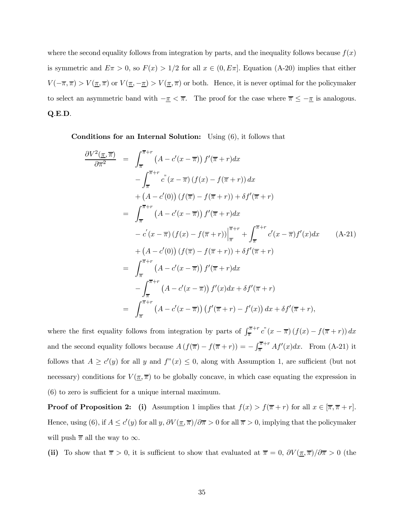where the second equality follows from integration by parts, and the inequality follows because  $f(x)$ is symmetric and  $E\pi > 0$ , so  $F(x) > 1/2$  for all  $x \in (0, E\pi]$ . Equation (A-20) implies that either  $V(-\overline{\pi}, \overline{\pi}) > V(\underline{\pi}, \overline{\pi})$  or  $V(\underline{\pi}, -\underline{\pi}) > V(\underline{\pi}, \overline{\pi})$  or both. Hence, it is never optimal for the policymaker to select an asymmetric band with  $-\pi < \overline{\pi}$ . The proof for the case where  $\overline{\pi} \le -\pi$  is analogous. Q.E.D.

Conditions for an Internal Solution: Using (6), it follows that

$$
\frac{\partial V^{2}(\pi,\overline{\pi})}{\partial \overline{\pi}^{2}} = \int_{\overline{\pi}}^{\overline{\pi}+r} (A - c'(x - \overline{\pi})) f'(\overline{\pi} + r) dx
$$
  
\n
$$
- \int_{\overline{\pi}}^{\overline{\pi}+r} c^{*}(x - \overline{\pi}) (f(x) - f(\overline{\pi} + r)) dx
$$
  
\n
$$
+ (A - c'(0)) (f(\overline{\pi}) - f(\overline{\pi} + r)) + \delta f'(\overline{\pi} + r)
$$
  
\n
$$
= \int_{\overline{\pi}}^{\overline{\pi}+r} (A - c'(x - \overline{\pi})) f'(\overline{\pi} + r) dx
$$
  
\n
$$
- c^{'}(x - \overline{\pi}) (f(x) - f(\overline{\pi} + r)) \Big|_{\overline{\pi}}^{\overline{\pi}+r} + \int_{\overline{\pi}}^{\overline{\pi}+r} c'(x - \overline{\pi}) f'(x) dx \qquad (A-21)
$$
  
\n
$$
+ (A - c'(0)) (f(\overline{\pi}) - f(\overline{\pi} + r)) + \delta f'(\overline{\pi} + r)
$$
  
\n
$$
= \int_{\overline{\pi}}^{\overline{\pi}+r} (A - c'(x - \overline{\pi})) f'(\overline{\pi} + r) dx
$$
  
\n
$$
- \int_{\overline{\pi}}^{\overline{\pi}+r} (A - c'(x - \overline{\pi})) f'(x) dx + \delta f'(\overline{\pi} + r)
$$
  
\n
$$
= \int_{\overline{\pi}}^{\overline{\pi}+r} (A - c'(x - \overline{\pi})) (f'(\overline{\pi} + r) - f'(x)) dx + \delta f'(\overline{\pi} + r),
$$

where the first equality follows from integration by parts of  $\int_{\overline{\pi}}^{\overline{\pi}+r} c^*(x-\overline{\pi}) (f(x)-f(\overline{\pi}+r)) dx$ and the second equality follows because  $A(f(\overline{\pi}) - f(\overline{\pi} + r)) = -\int_{\overline{\pi}}^{\overline{\pi}+r} Af'(x)dx$ . From (A-21) it follows that  $A \geq c'(y)$  for all y and  $f''(x) \leq 0$ , along with Assumption 1, are sufficient (but not necessary) conditions for  $V(\underline{\pi}, \overline{\pi})$  to be globally concave, in which case equating the expression in (6) to zero is sufficient for a unique internal maximum.

**Proof of Proposition 2:** (i) Assumption 1 implies that  $f(x) > f(\overline{\pi} + r)$  for all  $x \in [\overline{\pi}, \overline{\pi} + r]$ . Hence, using (6), if  $A \le c'(y)$  for all  $y$ ,  $\partial V(\underline{\pi}, \overline{\pi})/\partial \overline{\pi} > 0$  for all  $\overline{\pi} > 0$ , implying that the policymaker will push  $\bar{\pi}$  all the way to  $\infty$ .

(ii) To show that  $\overline{\pi} > 0$ , it is sufficient to show that evaluated at  $\overline{\pi} = 0$ ,  $\partial V(\overline{\pi}, \overline{\pi})/\partial \overline{\pi} > 0$  (the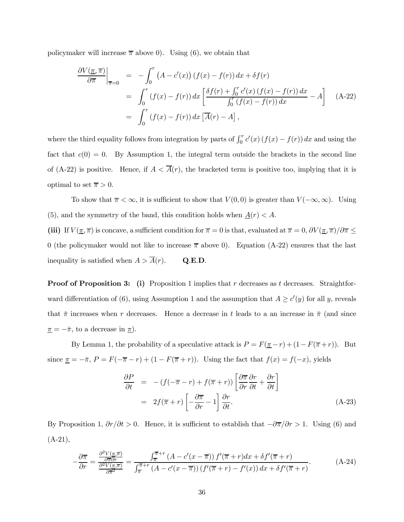policymaker will increase  $\bar{\pi}$  above 0). Using (6), we obtain that

$$
\frac{\partial V(\underline{\pi}, \overline{\pi})}{\partial \overline{\pi}}\Big|_{\overline{\pi}=0} = -\int_0^r (A - c'(x)) (f(x) - f(r)) dx + \delta f(r)
$$
  
\n
$$
= \int_0^r (f(x) - f(r)) dx \left[ \frac{\delta f(r) + \int_0^r c'(x) (f(x) - f(r)) dx}{\int_0^r (f(x) - f(r)) dx} - A \right] (A-22)
$$
  
\n
$$
= \int_0^r (f(x) - f(r)) dx [\overline{A}(r) - A],
$$

where the third equality follows from integration by parts of  $\int_0^r c'(x) (f(x) - f(r)) dx$  and using the fact that  $c(0) = 0$ . By Assumption 1, the integral term outside the brackets in the second line of (A-22) is positive. Hence, if  $A < \overline{A}(r)$ , the bracketed term is positive too, implying that it is optimal to set  $\overline{\pi} > 0$ .

To show that  $\overline{\pi} < \infty$ , it is sufficient to show that  $V(0,0)$  is greater than  $V(-\infty,\infty)$ . Using (5), and the symmetry of the band, this condition holds when  $\underline{A}(r) < A$ .

(iii) If  $V(\underline{\pi}, \overline{\pi})$  is concave, a sufficient condition for  $\overline{\pi} = 0$  is that, evaluated at  $\overline{\pi} = 0$ ,  $\partial V(\underline{\pi}, \overline{\pi})/\partial \overline{\pi} \leq$ 0 (the policymaker would not like to increase  $\bar{\pi}$  above 0). Equation (A-22) ensures that the last inequality is satisfied when  $A > \overline{A}(r)$ . Q.E.D.

**Proof of Proposition 3:** (i) Proposition 1 implies that r decreases as t decreases. Straightforward differentiation of (6), using Assumption 1 and the assumption that  $A \geq c'(y)$  for all y, reveals that  $\bar{\pi}$  increases when r decreases. Hence a decrease in t leads to a an increase in  $\bar{\pi}$  (and since  $\pi = -\bar{\pi}$ , to a decrease in  $\pi$ ).

By Lemma 1, the probability of a speculative attack is  $P = F(\underline{\pi} - r) + (1 - F(\overline{\pi} + r))$ . But since  $\pi = -\bar{\pi}$ ,  $P = F(-\bar{\pi} - r) + (1 - F(\bar{\pi} + r))$ . Using the fact that  $f(x) = f(-x)$ , yields

$$
\frac{\partial P}{\partial t} = -(f(-\overline{\pi} - r) + f(\overline{\pi} + r)) \left[ \frac{\partial \overline{\pi}}{\partial r} \frac{\partial r}{\partial t} + \frac{\partial r}{\partial t} \right]
$$

$$
= 2f(\overline{\pi} + r) \left[ -\frac{\partial \overline{\pi}}{\partial r} - 1 \right] \frac{\partial r}{\partial t}.
$$
(A-23)

By Proposition 1,  $\partial r/\partial t > 0$ . Hence, it is sufficient to establish that  $-\partial \overline{\pi}/\partial r > 1$ . Using (6) and  $(A-21),$ 

$$
-\frac{\partial \overline{\pi}}{\partial r} = \frac{\frac{\partial^2 V(\pi, \overline{\pi})}{\partial \overline{\pi} \partial r}}{\frac{\partial^2 V(\pi, \overline{\pi})}{\partial \overline{\pi}^2}} = \frac{\int_{\overline{\pi}}^{\overline{\pi}+r} (A - c'(x - \overline{\pi})) f'(\overline{\pi} + r) dx + \delta f'(\overline{\pi} + r)}{\int_{\overline{\pi}}^{\overline{\pi}+r} (A - c'(x - \overline{\pi})) (f'(\overline{\pi} + r) - f'(x)) dx + \delta f'(\overline{\pi} + r)}.
$$
(A-24)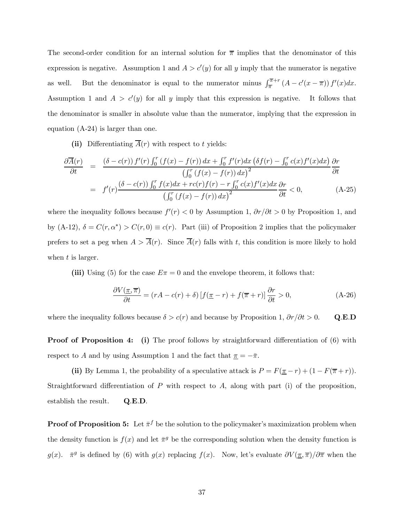The second-order condition for an internal solution for  $\bar{\pi}$  implies that the denominator of this expression is negative. Assumption 1 and  $A > c'(y)$  for all y imply that the numerator is negative as well. But the denominator is equal to the numerator minus  $\int_{\overline{\pi}}^{\overline{\pi}+r} (A - c'(x - \overline{\pi})) f'(x) dx$ . Assumption 1 and  $A > c'(y)$  for all y imply that this expression is negative. It follows that the denominator is smaller in absolute value than the numerator, implying that the expression in equation (A-24) is larger than one.

(ii) Differentiating  $\overline{A}(r)$  with respect to t yields:

$$
\frac{\partial \overline{A}(r)}{\partial t} = \frac{(\delta - c(r)) f'(r) \int_0^r (f(x) - f(r)) dx + \int_0^r f'(r) dx (\delta f(r) - \int_0^r c(x) f'(x) dx)}{\left(\int_0^r (f(x) - f(r)) dx\right)^2} \frac{\partial r}{\partial t}
$$
\n
$$
= f'(r) \frac{(\delta - c(r)) \int_0^r f(x) dx + r c(r) f(r) - r \int_0^r c(x) f'(x) dx}{\left(\int_0^r (f(x) - f(r)) dx\right)^2} \frac{\partial r}{\partial t} < 0,
$$
\n(A-25)

where the inequality follows because  $f'(r) < 0$  by Assumption 1,  $\partial r/\partial t > 0$  by Proposition 1, and by (A-12),  $\delta = C(r, \alpha^*) > C(r, 0) \equiv c(r)$ . Part (iii) of Proposition 2 implies that the policymaker prefers to set a peg when  $A > \overline{A}(r)$ . Since  $\overline{A}(r)$  falls with t, this condition is more likely to hold when  $t$  is larger.

(iii) Using (5) for the case  $E\pi = 0$  and the envelope theorem, it follows that:

$$
\frac{\partial V(\underline{\pi}, \overline{\pi})}{\partial t} = (rA - c(r) + \delta) \left[ f(\underline{\pi} - r) + f(\overline{\pi} + r) \right] \frac{\partial r}{\partial t} > 0,
$$
 (A-26)

where the inequality follows because  $\delta > c(r)$  and because by Proposition 1,  $\partial r/\partial t > 0$ . Q.E.D

Proof of Proposition 4: (i) The proof follows by straightforward differentiation of (6) with respect to A and by using Assumption 1 and the fact that  $\pi = -\bar{\pi}$ .

(ii) By Lemma 1, the probability of a speculative attack is  $P = F(\underline{\pi} - r) + (1 - F(\overline{\pi} + r)).$ Straightforward differentiation of  $P$  with respect to  $A$ , along with part (i) of the proposition, establish the result. Q.E.D.

**Proof of Proposition 5:** Let  $\bar{\pi}^f$  be the solution to the policymaker's maximization problem when the density function is  $f(x)$  and let  $\bar{\pi}^g$  be the corresponding solution when the density function is g(x).  $\bar{\pi}^g$  is defined by (6) with g(x) replacing  $f(x)$ . Now, let's evaluate  $\partial V(\bar{\pi}, \bar{\pi})/\partial \bar{\pi}$  when the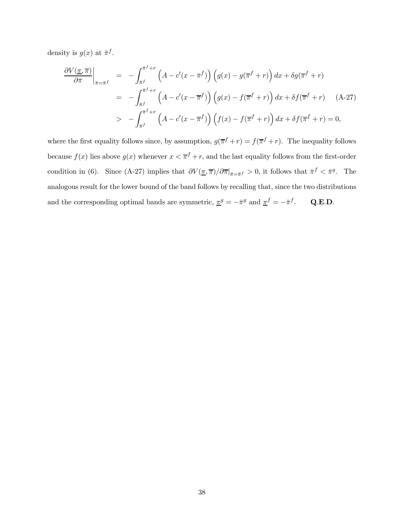density is  $g(x)$  at  $\bar{\pi}^f$ .

$$
\frac{\partial V(\underline{\pi}, \overline{\pi})}{\partial \overline{\pi}}\Big|_{\overline{\pi} = \overline{\pi}^f} = -\int_{\overline{\pi}^f}^{\overline{\pi}^f + r} \left( A - c'(x - \overline{\pi}^f) \right) \left( g(x) - g(\overline{\pi}^f + r) \right) dx + \delta g(\overline{\pi}^f + r)
$$
\n
$$
= -\int_{\overline{\pi}^f}^{\overline{\pi}^f + r} \left( A - c'(x - \overline{\pi}^f) \right) \left( g(x) - f(\overline{\pi}^f + r) \right) dx + \delta f(\overline{\pi}^f + r) \quad \text{(A-27)}
$$
\n
$$
> -\int_{\overline{\pi}^f}^{\overline{\pi}^f + r} \left( A - c'(x - \overline{\pi}^f) \right) \left( f(x) - f(\overline{\pi}^f + r) \right) dx + \delta f(\overline{\pi}^f + r) = 0,
$$

where the first equality follows since, by assumption,  $g(\overline{\pi}^f + r) = f(\overline{\pi}^f + r)$ . The inequality follows because  $f(x)$  lies above  $g(x)$  whenever  $x < \overline{\pi}^f + r$ , and the last equality follows from the first-order condition in (6). Since (A-27) implies that  $\partial V(\pi,\overline{\pi})/\partial \overline{\pi}|_{\overline{\pi}=\overline{\pi}f} > 0$ , it follows that  $\overline{\pi}^f < \overline{\pi}^g$ . The analogous result for the lower bound of the band follows by recalling that, since the two distributions and the corresponding optimal bands are symmetric,  $\underline{\pi}^g = -\overline{\pi}^g$  and  $\underline{\pi}^f = -\overline{\pi}^f$ . Q.E.D.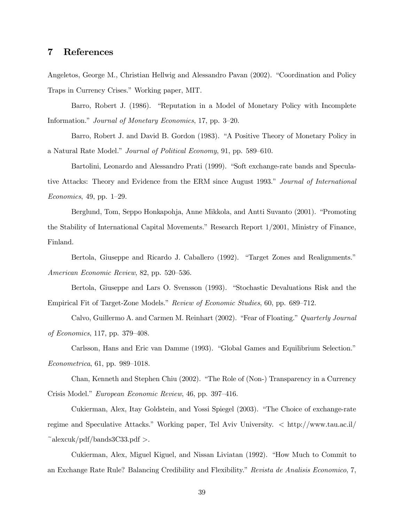# 7 References

Angeletos, George M., Christian Hellwig and Alessandro Pavan (2002). "Coordination and Policy Traps in Currency Crises." Working paper, MIT.

Barro, Robert J. (1986). "Reputation in a Model of Monetary Policy with Incomplete Information." Journal of Monetary Economics, 17, pp. 3—20.

Barro, Robert J. and David B. Gordon (1983). "A Positive Theory of Monetary Policy in a Natural Rate Model." Journal of Political Economy, 91, pp. 589—610.

Bartolini, Leonardo and Alessandro Prati (1999). "Soft exchange-rate bands and Speculative Attacks: Theory and Evidence from the ERM since August 1993." Journal of International Economics, 49, pp. 1—29.

Berglund, Tom, Seppo Honkapohja, Anne Mikkola, and Antti Suvanto (2001). "Promoting the Stability of International Capital Movements." Research Report 1/2001, Ministry of Finance, Finland.

Bertola, Giuseppe and Ricardo J. Caballero (1992). "Target Zones and Realignments." American Economic Review, 82, pp. 520—536.

Bertola, Giuseppe and Lars O. Svensson (1993). "Stochastic Devaluations Risk and the Empirical Fit of Target-Zone Models." Review of Economic Studies, 60, pp. 689—712.

Calvo, Guillermo A. and Carmen M. Reinhart (2002). "Fear of Floating." Quarterly Journal of Economics, 117, pp. 379—408.

Carlsson, Hans and Eric van Damme (1993). "Global Games and Equilibrium Selection." Econometrica, 61, pp. 989—1018.

Chan, Kenneth and Stephen Chiu (2002). "The Role of (Non-) Transparency in a Currency Crisis Model." European Economic Review, 46, pp. 397—416.

Cukierman, Alex, Itay Goldstein, and Yossi Spiegel (2003). "The Choice of exchange-rate regime and Speculative Attacks." Working paper, Tel Aviv University. < http://www.tau.ac.il/  $\tilde{\text{ale}}$ xcuk/pdf/bands3C33.pdf  $>$ .

Cukierman, Alex, Miguel Kiguel, and Nissan Liviatan (1992). "How Much to Commit to an Exchange Rate Rule? Balancing Credibility and Flexibility." Revista de Analisis Economico, 7,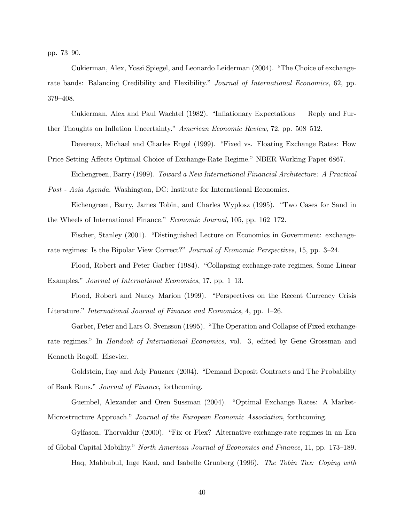pp. 73—90.

Cukierman, Alex, Yossi Spiegel, and Leonardo Leiderman (2004). "The Choice of exchangerate bands: Balancing Credibility and Flexibility." Journal of International Economics, 62, pp. 379—408.

Cukierman, Alex and Paul Wachtel (1982). "Inflationary Expectations – Reply and Further Thoughts on Inflation Uncertainty." American Economic Review, 72, pp. 508—512.

Devereux, Michael and Charles Engel (1999). "Fixed vs. Floating Exchange Rates: How Price Setting Affects Optimal Choice of Exchange-Rate Regime." NBER Working Paper 6867.

Eichengreen, Barry (1999). Toward a New International Financial Architecture: A Practical

Post - Asia Agenda. Washington, DC: Institute for International Economics.

Eichengreen, Barry, James Tobin, and Charles Wyplosz (1995). "Two Cases for Sand in the Wheels of International Finance." Economic Journal, 105, pp. 162—172.

Fischer, Stanley (2001). "Distinguished Lecture on Economics in Government: exchangerate regimes: Is the Bipolar View Correct?" Journal of Economic Perspectives, 15, pp. 3—24.

Flood, Robert and Peter Garber (1984). "Collapsing exchange-rate regimes, Some Linear Examples." Journal of International Economics, 17, pp. 1—13.

Flood, Robert and Nancy Marion (1999). "Perspectives on the Recent Currency Crisis Literature." International Journal of Finance and Economics, 4, pp. 1—26.

Garber, Peter and Lars O. Svensson (1995). "The Operation and Collapse of Fixed exchangerate regimes." In *Handook of International Economics*, vol. 3, edited by Gene Grossman and Kenneth Rogoff. Elsevier.

Goldstein, Itay and Ady Pauzner (2004). "Demand Deposit Contracts and The Probability of Bank Runs." Journal of Finance, forthcoming.

Guembel, Alexander and Oren Sussman (2004). "Optimal Exchange Rates: A Market-Microstructure Approach." Journal of the European Economic Association, forthcoming.

Gylfason, Thorvaldur (2000). "Fix or Flex? Alternative exchange-rate regimes in an Era of Global Capital Mobility." North American Journal of Economics and Finance, 11, pp. 173—189.

Haq, Mahbubul, Inge Kaul, and Isabelle Grunberg (1996). The Tobin Tax: Coping with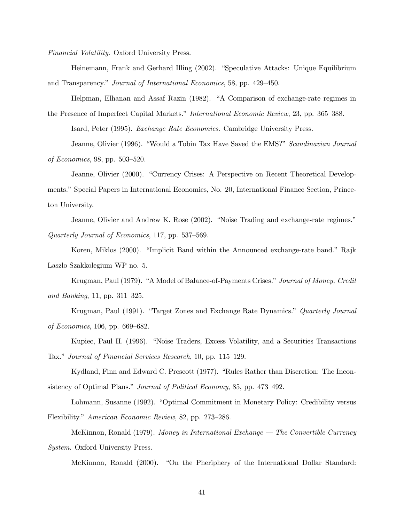Financial Volatility. Oxford University Press.

Heinemann, Frank and Gerhard Illing (2002). "Speculative Attacks: Unique Equilibrium and Transparency." Journal of International Economics, 58, pp. 429—450.

Helpman, Elhanan and Assaf Razin (1982). "A Comparison of exchange-rate regimes in the Presence of Imperfect Capital Markets." International Economic Review, 23, pp. 365—388.

Isard, Peter (1995). Exchange Rate Economics. Cambridge University Press.

Jeanne, Olivier (1996). "Would a Tobin Tax Have Saved the EMS?" Scandinavian Journal of Economics, 98, pp. 503—520.

Jeanne, Olivier (2000). "Currency Crises: A Perspective on Recent Theoretical Developments." Special Papers in International Economics, No. 20, International Finance Section, Princeton University.

Jeanne, Olivier and Andrew K. Rose (2002). "Noise Trading and exchange-rate regimes." Quarterly Journal of Economics, 117, pp. 537—569.

Koren, Miklos (2000). "Implicit Band within the Announced exchange-rate band." Rajk Laszlo Szakkolegium WP no. 5.

Krugman, Paul (1979). "A Model of Balance-of-Payments Crises." Journal of Money, Credit and Banking, 11, pp. 311—325.

Krugman, Paul (1991). "Target Zones and Exchange Rate Dynamics." Quarterly Journal of Economics, 106, pp. 669—682.

Kupiec, Paul H. (1996). "Noise Traders, Excess Volatility, and a Securities Transactions Tax." Journal of Financial Services Research, 10, pp. 115—129.

Kydland, Finn and Edward C. Prescott (1977). "Rules Rather than Discretion: The Inconsistency of Optimal Plans." Journal of Political Economy, 85, pp. 473—492.

Lohmann, Susanne (1992). "Optimal Commitment in Monetary Policy: Credibility versus Flexibility." American Economic Review, 82, pp. 273—286.

McKinnon, Ronald (1979). Money in International Exchange – The Convertible Currency System. Oxford University Press.

McKinnon, Ronald (2000). "On the Pheriphery of the International Dollar Standard: